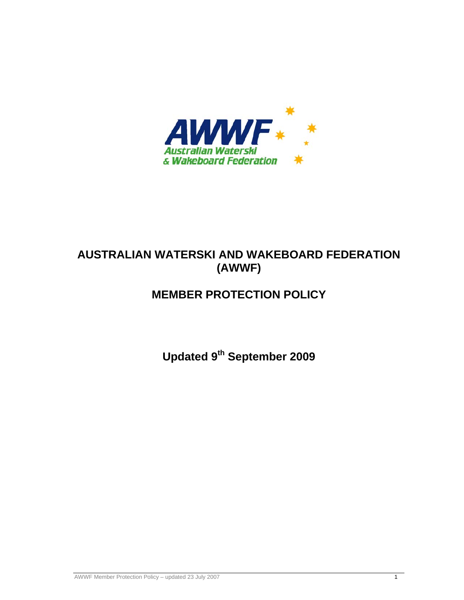

# **AUSTRALIAN WATERSKI AND WAKEBOARD FEDERATION (AWWF)**

# **MEMBER PROTECTION POLICY**

**Updated 9th September 2009**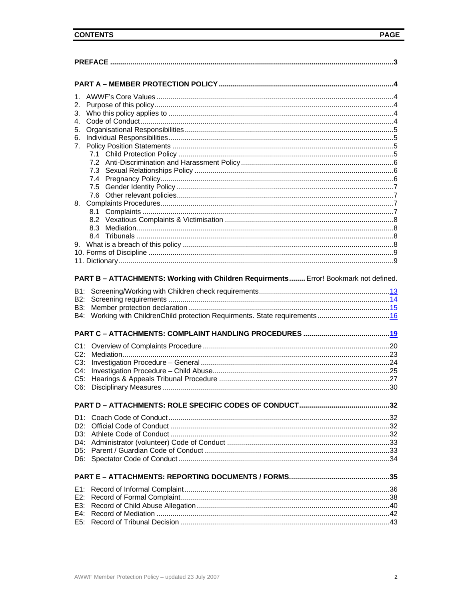| 1.     |                                                                                      |  |  |  |
|--------|--------------------------------------------------------------------------------------|--|--|--|
| 2.     |                                                                                      |  |  |  |
| 3.     |                                                                                      |  |  |  |
| 4.     |                                                                                      |  |  |  |
| 5.     |                                                                                      |  |  |  |
| 6.     |                                                                                      |  |  |  |
| 7.     |                                                                                      |  |  |  |
|        |                                                                                      |  |  |  |
|        |                                                                                      |  |  |  |
|        |                                                                                      |  |  |  |
|        |                                                                                      |  |  |  |
|        |                                                                                      |  |  |  |
|        |                                                                                      |  |  |  |
| 8.     |                                                                                      |  |  |  |
|        | 8.1                                                                                  |  |  |  |
|        |                                                                                      |  |  |  |
|        |                                                                                      |  |  |  |
|        |                                                                                      |  |  |  |
|        |                                                                                      |  |  |  |
|        |                                                                                      |  |  |  |
|        |                                                                                      |  |  |  |
| B2:    | PART B - ATTACHMENTS: Working with Children Requirments Error! Bookmark not defined. |  |  |  |
| B3:    |                                                                                      |  |  |  |
|        |                                                                                      |  |  |  |
|        |                                                                                      |  |  |  |
|        |                                                                                      |  |  |  |
|        |                                                                                      |  |  |  |
|        |                                                                                      |  |  |  |
| $C3$ : |                                                                                      |  |  |  |
| $C4$ : |                                                                                      |  |  |  |
| $C5$ : |                                                                                      |  |  |  |
| $C6$ : |                                                                                      |  |  |  |
|        |                                                                                      |  |  |  |
|        |                                                                                      |  |  |  |
|        |                                                                                      |  |  |  |
|        |                                                                                      |  |  |  |
|        |                                                                                      |  |  |  |
|        |                                                                                      |  |  |  |
|        |                                                                                      |  |  |  |
|        |                                                                                      |  |  |  |
|        |                                                                                      |  |  |  |
|        |                                                                                      |  |  |  |
|        |                                                                                      |  |  |  |
|        |                                                                                      |  |  |  |
|        |                                                                                      |  |  |  |
|        |                                                                                      |  |  |  |
|        |                                                                                      |  |  |  |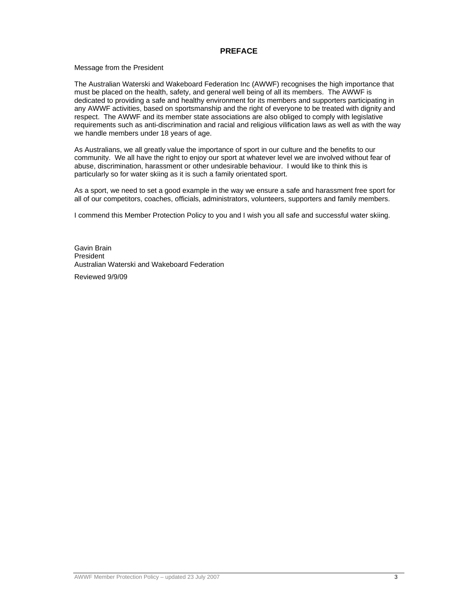#### **PREFACE**

#### Message from the President

The Australian Waterski and Wakeboard Federation Inc (AWWF) recognises the high importance that must be placed on the health, safety, and general well being of all its members. The AWWF is dedicated to providing a safe and healthy environment for its members and supporters participating in any AWWF activities, based on sportsmanship and the right of everyone to be treated with dignity and respect. The AWWF and its member state associations are also obliged to comply with legislative requirements such as anti-discrimination and racial and religious vilification laws as well as with the way we handle members under 18 years of age.

As Australians, we all greatly value the importance of sport in our culture and the benefits to our community. We all have the right to enjoy our sport at whatever level we are involved without fear of abuse, discrimination, harassment or other undesirable behaviour. I would like to think this is particularly so for water skiing as it is such a family orientated sport.

As a sport, we need to set a good example in the way we ensure a safe and harassment free sport for all of our competitors, coaches, officials, administrators, volunteers, supporters and family members.

I commend this Member Protection Policy to you and I wish you all safe and successful water skiing.

Gavin Brain President Australian Waterski and Wakeboard Federation

Reviewed 9/9/09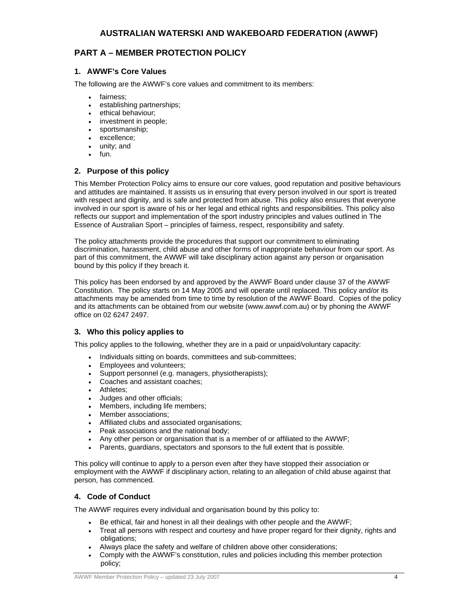# **PART A – MEMBER PROTECTION POLICY**

# **1. AWWF's Core Values**

The following are the AWWF's core values and commitment to its members:

- fairness;
- establishing partnerships;
- ethical behaviour;
- investment in people;
- sportsmanship;
- excellence;
- unity; and
- $\bullet$  fun.

# **2. Purpose of this policy**

This Member Protection Policy aims to ensure our core values, good reputation and positive behaviours and attitudes are maintained. It assists us in ensuring that every person involved in our sport is treated with respect and dignity, and is safe and protected from abuse. This policy also ensures that everyone involved in our sport is aware of his or her legal and ethical rights and responsibilities. This policy also reflects our support and implementation of the sport industry principles and values outlined in The Essence of Australian Sport – principles of fairness, respect, responsibility and safety.

The policy attachments provide the procedures that support our commitment to eliminating discrimination, harassment, child abuse and other forms of inappropriate behaviour from our sport. As part of this commitment, the AWWF will take disciplinary action against any person or organisation bound by this policy if they breach it.

This policy has been endorsed by and approved by the AWWF Board under clause 37 of the AWWF Constitution. The policy starts on 14 May 2005 and will operate until replaced. This policy and/or its attachments may be amended from time to time by resolution of the AWWF Board. Copies of the policy and its attachments can be obtained from our website (www.awwf.com.au) or by phoning the AWWF office on 02 6247 2497.

# **3. Who this policy applies to**

This policy applies to the following, whether they are in a paid or unpaid/voluntary capacity:

- Individuals sitting on boards, committees and sub-committees;
- **Employees and volunteers;**
- Support personnel (e.g. managers, physiotherapists);
- Coaches and assistant coaches;
- Athletes:
- Judges and other officials;
- Members, including life members;
- Member associations;
- Affiliated clubs and associated organisations;
- Peak associations and the national body;
- Any other person or organisation that is a member of or affiliated to the AWWF;
- Parents, guardians, spectators and sponsors to the full extent that is possible.

This policy will continue to apply to a person even after they have stopped their association or employment with the AWWF if disciplinary action, relating to an allegation of child abuse against that person, has commenced.

# **4. Code of Conduct**

The AWWF requires every individual and organisation bound by this policy to:

- Be ethical, fair and honest in all their dealings with other people and the AWWF;
- Treat all persons with respect and courtesy and have proper regard for their dignity, rights and obligations;
- Always place the safety and welfare of children above other considerations;
- Comply with the AWWF's constitution, rules and policies including this member protection policy;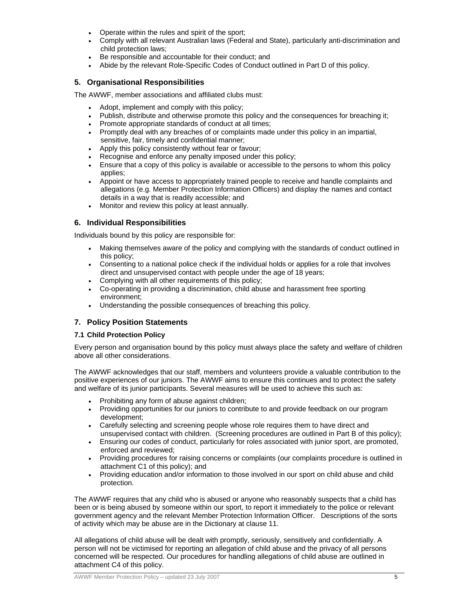- Operate within the rules and spirit of the sport;
- Comply with all relevant Australian laws (Federal and State), particularly anti-discrimination and child protection laws;
- Be responsible and accountable for their conduct; and
- Abide by the relevant Role-Specific Codes of Conduct outlined in Part D of this policy.

#### **5. Organisational Responsibilities**

The AWWF, member associations and affiliated clubs must:

- Adopt, implement and comply with this policy;
- Publish, distribute and otherwise promote this policy and the consequences for breaching it;
- Promote appropriate standards of conduct at all times;
- Promptly deal with any breaches of or complaints made under this policy in an impartial, sensitive, fair, timely and confidential manner;
- Apply this policy consistently without fear or favour;
- Recognise and enforce any penalty imposed under this policy;
- Ensure that a copy of this policy is available or accessible to the persons to whom this policy applies;
- Appoint or have access to appropriately trained people to receive and handle complaints and allegations (e.g. Member Protection Information Officers) and display the names and contact details in a way that is readily accessible; and
- Monitor and review this policy at least annually.

### **6. Individual Responsibilities**

Individuals bound by this policy are responsible for:

- Making themselves aware of the policy and complying with the standards of conduct outlined in this policy;
- Consenting to a national police check if the individual holds or applies for a role that involves direct and unsupervised contact with people under the age of 18 years;
- Complying with all other requirements of this policy;
- Co-operating in providing a discrimination, child abuse and harassment free sporting environment;
- Understanding the possible consequences of breaching this policy.

# **7. Policy Position Statements**

#### **7.1 Child Protection Policy**

Every person and organisation bound by this policy must always place the safety and welfare of children above all other considerations.

The AWWF acknowledges that our staff, members and volunteers provide a valuable contribution to the positive experiences of our juniors. The AWWF aims to ensure this continues and to protect the safety and welfare of its junior participants. Several measures will be used to achieve this such as:

- Prohibiting any form of abuse against children;
- Providing opportunities for our juniors to contribute to and provide feedback on our program development;
- Carefully selecting and screening people whose role requires them to have direct and unsupervised contact with children. (Screening procedures are outlined in Part B of this policy);
- Ensuring our codes of conduct, particularly for roles associated with junior sport, are promoted, enforced and reviewed;
- Providing procedures for raising concerns or complaints (our complaints procedure is outlined in attachment C1 of this policy); and
- Providing education and/or information to those involved in our sport on child abuse and child protection.

The AWWF requires that any child who is abused or anyone who reasonably suspects that a child has been or is being abused by someone within our sport, to report it immediately to the police or relevant government agency and the relevant Member Protection Information Officer. Descriptions of the sorts of activity which may be abuse are in the Dictionary at clause 11.

All allegations of child abuse will be dealt with promptly, seriously, sensitively and confidentially. A person will not be victimised for reporting an allegation of child abuse and the privacy of all persons concerned will be respected. Our procedures for handling allegations of child abuse are outlined in attachment C4 of this policy.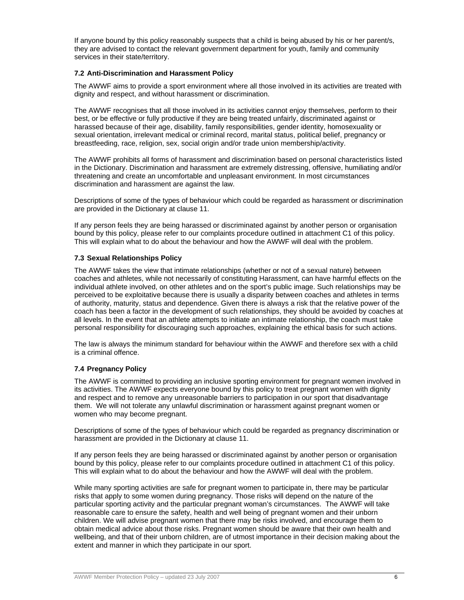If anyone bound by this policy reasonably suspects that a child is being abused by his or her parent/s, they are advised to contact the relevant government department for youth, family and community services in their state/territory.

#### **7.2 Anti-Discrimination and Harassment Policy**

The AWWF aims to provide a sport environment where all those involved in its activities are treated with dignity and respect, and without harassment or discrimination.

The AWWF recognises that all those involved in its activities cannot enjoy themselves, perform to their best, or be effective or fully productive if they are being treated unfairly, discriminated against or harassed because of their age, disability, family responsibilities, gender identity, homosexuality or sexual orientation, irrelevant medical or criminal record, marital status, political belief, pregnancy or breastfeeding, race, religion, sex, social origin and/or trade union membership/activity.

The AWWF prohibits all forms of harassment and discrimination based on personal characteristics listed in the Dictionary. Discrimination and harassment are extremely distressing, offensive, humiliating and/or threatening and create an uncomfortable and unpleasant environment. In most circumstances discrimination and harassment are against the law.

Descriptions of some of the types of behaviour which could be regarded as harassment or discrimination are provided in the Dictionary at clause 11.

If any person feels they are being harassed or discriminated against by another person or organisation bound by this policy, please refer to our complaints procedure outlined in attachment C1 of this policy. This will explain what to do about the behaviour and how the AWWF will deal with the problem.

#### **7.3 Sexual Relationships Policy**

The AWWF takes the view that intimate relationships (whether or not of a sexual nature) between coaches and athletes, while not necessarily of constituting Harassment, can have harmful effects on the individual athlete involved, on other athletes and on the sport's public image. Such relationships may be perceived to be exploitative because there is usually a disparity between coaches and athletes in terms of authority, maturity, status and dependence. Given there is always a risk that the relative power of the coach has been a factor in the development of such relationships, they should be avoided by coaches at all levels. In the event that an athlete attempts to initiate an intimate relationship, the coach must take personal responsibility for discouraging such approaches, explaining the ethical basis for such actions.

The law is always the minimum standard for behaviour within the AWWF and therefore sex with a child is a criminal offence.

#### **7.4 Pregnancy Policy**

The AWWF is committed to providing an inclusive sporting environment for pregnant women involved in its activities. The AWWF expects everyone bound by this policy to treat pregnant women with dignity and respect and to remove any unreasonable barriers to participation in our sport that disadvantage them. We will not tolerate any unlawful discrimination or harassment against pregnant women or women who may become pregnant.

Descriptions of some of the types of behaviour which could be regarded as pregnancy discrimination or harassment are provided in the Dictionary at clause 11.

If any person feels they are being harassed or discriminated against by another person or organisation bound by this policy, please refer to our complaints procedure outlined in attachment C1 of this policy. This will explain what to do about the behaviour and how the AWWF will deal with the problem.

While many sporting activities are safe for pregnant women to participate in, there may be particular risks that apply to some women during pregnancy. Those risks will depend on the nature of the particular sporting activity and the particular pregnant woman's circumstances. The AWWF will take reasonable care to ensure the safety, health and well being of pregnant women and their unborn children. We will advise pregnant women that there may be risks involved, and encourage them to obtain medical advice about those risks. Pregnant women should be aware that their own health and wellbeing, and that of their unborn children, are of utmost importance in their decision making about the extent and manner in which they participate in our sport.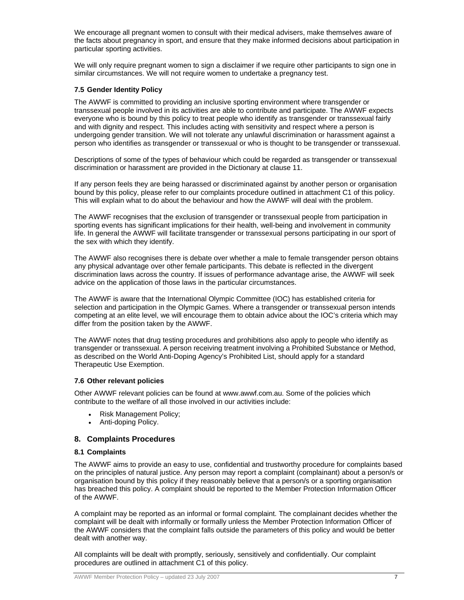We encourage all pregnant women to consult with their medical advisers, make themselves aware of the facts about pregnancy in sport, and ensure that they make informed decisions about participation in particular sporting activities.

We will only require pregnant women to sign a disclaimer if we require other participants to sign one in similar circumstances. We will not require women to undertake a pregnancy test.

#### **7.5 Gender Identity Policy**

The AWWF is committed to providing an inclusive sporting environment where transgender or transsexual people involved in its activities are able to contribute and participate. The AWWF expects everyone who is bound by this policy to treat people who identify as transgender or transsexual fairly and with dignity and respect. This includes acting with sensitivity and respect where a person is undergoing gender transition. We will not tolerate any unlawful discrimination or harassment against a person who identifies as transgender or transsexual or who is thought to be transgender or transsexual.

Descriptions of some of the types of behaviour which could be regarded as transgender or transsexual discrimination or harassment are provided in the Dictionary at clause 11.

If any person feels they are being harassed or discriminated against by another person or organisation bound by this policy, please refer to our complaints procedure outlined in attachment C1 of this policy. This will explain what to do about the behaviour and how the AWWF will deal with the problem.

The AWWF recognises that the exclusion of transgender or transsexual people from participation in sporting events has significant implications for their health, well-being and involvement in community life. In general the AWWF will facilitate transgender or transsexual persons participating in our sport of the sex with which they identify.

The AWWF also recognises there is debate over whether a male to female transgender person obtains any physical advantage over other female participants. This debate is reflected in the divergent discrimination laws across the country. If issues of performance advantage arise, the AWWF will seek advice on the application of those laws in the particular circumstances.

The AWWF is aware that the International Olympic Committee (IOC) has established criteria for selection and participation in the Olympic Games. Where a transgender or transsexual person intends competing at an elite level, we will encourage them to obtain advice about the IOC's criteria which may differ from the position taken by the AWWF.

The AWWF notes that drug testing procedures and prohibitions also apply to people who identify as transgender or transsexual. A person receiving treatment involving a Prohibited Substance or Method, as described on the World Anti-Doping Agency's Prohibited List, should apply for a standard Therapeutic Use Exemption.

#### **7.6 Other relevant policies**

Other AWWF relevant policies can be found at www.awwf.com.au. Some of the policies which contribute to the welfare of all those involved in our activities include:

- Risk Management Policy:
- Anti-doping Policy.

#### **8. Complaints Procedures**

#### **8.1 Complaints**

The AWWF aims to provide an easy to use, confidential and trustworthy procedure for complaints based on the principles of natural justice. Any person may report a complaint (complainant) about a person/s or organisation bound by this policy if they reasonably believe that a person/s or a sporting organisation has breached this policy. A complaint should be reported to the Member Protection Information Officer of the AWWF.

A complaint may be reported as an informal or formal complaint. The complainant decides whether the complaint will be dealt with informally or formally unless the Member Protection Information Officer of the AWWF considers that the complaint falls outside the parameters of this policy and would be better dealt with another way.

All complaints will be dealt with promptly, seriously, sensitively and confidentially. Our complaint procedures are outlined in attachment C1 of this policy.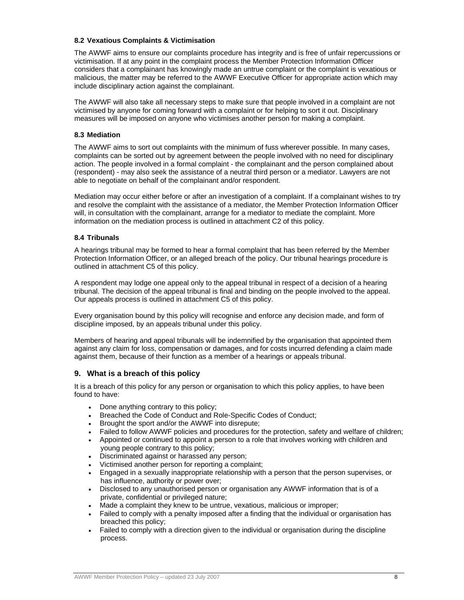#### **8.2 Vexatious Complaints & Victimisation**

The AWWF aims to ensure our complaints procedure has integrity and is free of unfair repercussions or victimisation. If at any point in the complaint process the Member Protection Information Officer considers that a complainant has knowingly made an untrue complaint or the complaint is vexatious or malicious, the matter may be referred to the AWWF Executive Officer for appropriate action which may include disciplinary action against the complainant.

The AWWF will also take all necessary steps to make sure that people involved in a complaint are not victimised by anyone for coming forward with a complaint or for helping to sort it out. Disciplinary measures will be imposed on anyone who victimises another person for making a complaint.

#### **8.3 Mediation**

The AWWF aims to sort out complaints with the minimum of fuss wherever possible. In many cases, complaints can be sorted out by agreement between the people involved with no need for disciplinary action. The people involved in a formal complaint - the complainant and the person complained about (respondent) - may also seek the assistance of a neutral third person or a mediator. Lawyers are not able to negotiate on behalf of the complainant and/or respondent.

Mediation may occur either before or after an investigation of a complaint. If a complainant wishes to try and resolve the complaint with the assistance of a mediator, the Member Protection Information Officer will, in consultation with the complainant, arrange for a mediator to mediate the complaint. More information on the mediation process is outlined in attachment C2 of this policy.

#### **8.4 Tribunals**

A hearings tribunal may be formed to hear a formal complaint that has been referred by the Member Protection Information Officer, or an alleged breach of the policy. Our tribunal hearings procedure is outlined in attachment C5 of this policy.

A respondent may lodge one appeal only to the appeal tribunal in respect of a decision of a hearing tribunal. The decision of the appeal tribunal is final and binding on the people involved to the appeal. Our appeals process is outlined in attachment C5 of this policy.

Every organisation bound by this policy will recognise and enforce any decision made, and form of discipline imposed, by an appeals tribunal under this policy.

Members of hearing and appeal tribunals will be indemnified by the organisation that appointed them against any claim for loss, compensation or damages, and for costs incurred defending a claim made against them, because of their function as a member of a hearings or appeals tribunal.

#### **9. What is a breach of this policy**

It is a breach of this policy for any person or organisation to which this policy applies, to have been found to have:

- Done anything contrary to this policy;
- Breached the Code of Conduct and Role-Specific Codes of Conduct;
- Brought the sport and/or the AWWF into disrepute;
- Failed to follow AWWF policies and procedures for the protection, safety and welfare of children;
- Appointed or continued to appoint a person to a role that involves working with children and young people contrary to this policy;
- Discriminated against or harassed any person;
- Victimised another person for reporting a complaint;
- Engaged in a sexually inappropriate relationship with a person that the person supervises, or has influence, authority or power over;
- Disclosed to any unauthorised person or organisation any AWWF information that is of a private, confidential or privileged nature;
- Made a complaint they knew to be untrue, vexatious, malicious or improper;
- Failed to comply with a penalty imposed after a finding that the individual or organisation has breached this policy;
- Failed to comply with a direction given to the individual or organisation during the discipline process.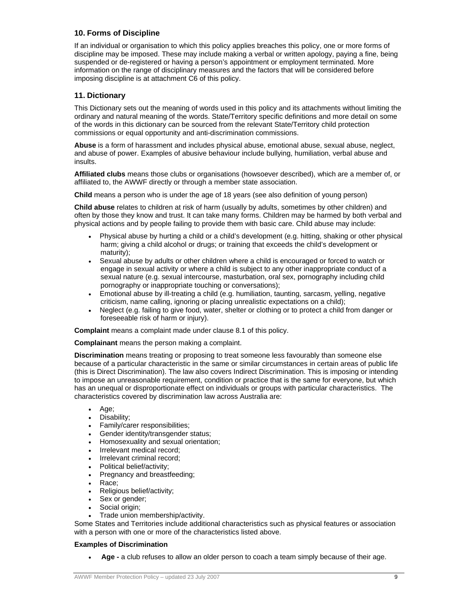# **10. Forms of Discipline**

If an individual or organisation to which this policy applies breaches this policy, one or more forms of discipline may be imposed. These may include making a verbal or written apology, paying a fine, being suspended or de-registered or having a person's appointment or employment terminated. More information on the range of disciplinary measures and the factors that will be considered before imposing discipline is at attachment C6 of this policy.

# **11. Dictionary**

This Dictionary sets out the meaning of words used in this policy and its attachments without limiting the ordinary and natural meaning of the words. State/Territory specific definitions and more detail on some of the words in this dictionary can be sourced from the relevant State/Territory child protection commissions or equal opportunity and anti-discrimination commissions.

**Abuse** is a form of harassment and includes physical abuse, emotional abuse, sexual abuse, neglect, and abuse of power. Examples of abusive behaviour include bullying, humiliation, verbal abuse and insults.

**Affiliated clubs** means those clubs or organisations (howsoever described), which are a member of, or affiliated to, the AWWF directly or through a member state association.

**Child** means a person who is under the age of 18 years (see also definition of young person)

**Child abuse** relates to children at risk of harm (usually by adults, sometimes by other children) and often by those they know and trust. It can take many forms. Children may be harmed by both verbal and physical actions and by people failing to provide them with basic care. Child abuse may include:

- Physical abuse by hurting a child or a child's development (e.g. hitting, shaking or other physical harm; giving a child alcohol or drugs; or training that exceeds the child's development or maturity);
- Sexual abuse by adults or other children where a child is encouraged or forced to watch or engage in sexual activity or where a child is subject to any other inappropriate conduct of a sexual nature (e.g. sexual intercourse, masturbation, oral sex, pornography including child pornography or inappropriate touching or conversations);
- Emotional abuse by ill-treating a child (e.g. humiliation, taunting, sarcasm, yelling, negative criticism, name calling, ignoring or placing unrealistic expectations on a child);
- Neglect (e.g. failing to give food, water, shelter or clothing or to protect a child from danger or foreseeable risk of harm or injury).

**Complaint** means a complaint made under clause 8.1 of this policy.

**Complainant** means the person making a complaint.

**Discrimination** means treating or proposing to treat someone less favourably than someone else because of a particular characteristic in the same or similar circumstances in certain areas of public life (this is Direct Discrimination). The law also covers Indirect Discrimination. This is imposing or intending to impose an unreasonable requirement, condition or practice that is the same for everyone, but which has an unequal or disproportionate effect on individuals or groups with particular characteristics. The characteristics covered by discrimination law across Australia are:

- $\bullet$  Age;
- Disability;
- Family/carer responsibilities;
- Gender identity/transgender status;
- Homosexuality and sexual orientation;
- Irrelevant medical record;
- Irrelevant criminal record;
- Political belief/activity;
- Pregnancy and breastfeeding;
- Race;
- Religious belief/activity;
- Sex or gender;
- Social origin;
- Trade union membership/activity.

Some States and Territories include additional characteristics such as physical features or association with a person with one or more of the characteristics listed above.

#### **Examples of Discrimination**

**Age -** a club refuses to allow an older person to coach a team simply because of their age.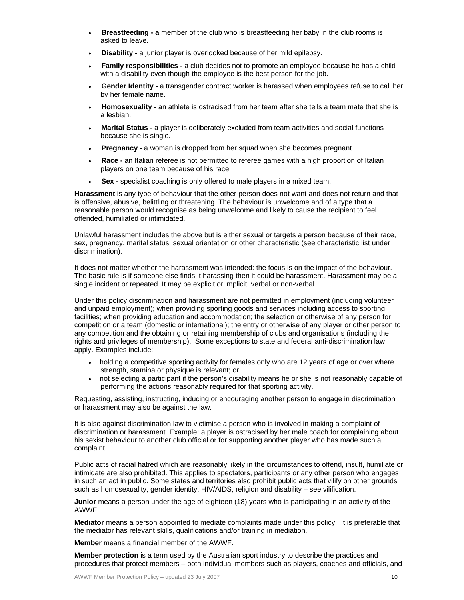- **Breastfeeding a** member of the club who is breastfeeding her baby in the club rooms is asked to leave.
- **Disability a junior player is overlooked because of her mild epilepsy.**
- **Family responsibilities a club decides not to promote an employee because he has a child** with a disability even though the employee is the best person for the job.
- **Gender Identity a transgender contract worker is harassed when employees refuse to call her** by her female name.
- **Homosexuality** an athlete is ostracised from her team after she tells a team mate that she is a lesbian.
- **Marital Status** a player is deliberately excluded from team activities and social functions because she is single.
- **Pregnancy a** woman is dropped from her squad when she becomes pregnant.
- **Race** an Italian referee is not permitted to referee games with a high proportion of Italian players on one team because of his race.
- **Sex** specialist coaching is only offered to male players in a mixed team.

**Harassment** is any type of behaviour that the other person does not want and does not return and that is offensive, abusive, belittling or threatening. The behaviour is unwelcome and of a type that a reasonable person would recognise as being unwelcome and likely to cause the recipient to feel offended, humiliated or intimidated.

Unlawful harassment includes the above but is either sexual or targets a person because of their race, sex, pregnancy, marital status, sexual orientation or other characteristic (see characteristic list under discrimination).

It does not matter whether the harassment was intended: the focus is on the impact of the behaviour. The basic rule is if someone else finds it harassing then it could be harassment. Harassment may be a single incident or repeated. It may be explicit or implicit, verbal or non-verbal.

Under this policy discrimination and harassment are not permitted in employment (including volunteer and unpaid employment); when providing sporting goods and services including access to sporting facilities; when providing education and accommodation; the selection or otherwise of any person for competition or a team (domestic or international); the entry or otherwise of any player or other person to any competition and the obtaining or retaining membership of clubs and organisations (including the rights and privileges of membership). Some exceptions to state and federal anti-discrimination law apply. Examples include:

- holding a competitive sporting activity for females only who are 12 years of age or over where strength, stamina or physique is relevant; or
- not selecting a participant if the person's disability means he or she is not reasonably capable of performing the actions reasonably required for that sporting activity.

Requesting, assisting, instructing, inducing or encouraging another person to engage in discrimination or harassment may also be against the law.

It is also against discrimination law to victimise a person who is involved in making a complaint of discrimination or harassment. Example: a player is ostracised by her male coach for complaining about his sexist behaviour to another club official or for supporting another player who has made such a complaint.

Public acts of racial hatred which are reasonably likely in the circumstances to offend, insult, humiliate or intimidate are also prohibited. This applies to spectators, participants or any other person who engages in such an act in public. Some states and territories also prohibit public acts that vilify on other grounds such as homosexuality, gender identity, HIV/AIDS, religion and disability – see vilification.

**Junior** means a person under the age of eighteen (18) years who is participating in an activity of the AWWF.

**Mediator** means a person appointed to mediate complaints made under this policy. It is preferable that the mediator has relevant skills, qualifications and/or training in mediation.

**Member** means a financial member of the AWWF.

**Member protection** is a term used by the Australian sport industry to describe the practices and procedures that protect members – both individual members such as players, coaches and officials, and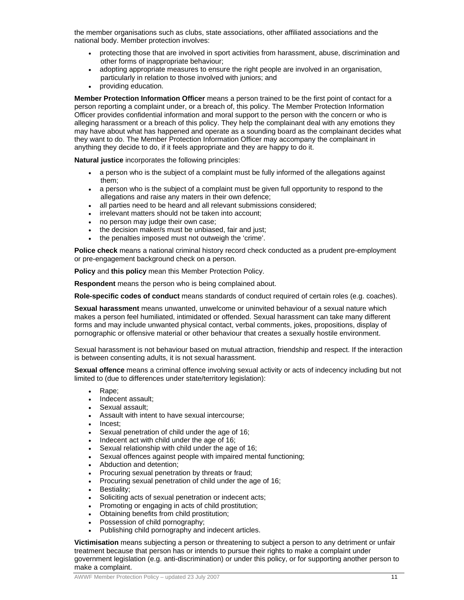the member organisations such as clubs, state associations, other affiliated associations and the national body. Member protection involves:

- protecting those that are involved in sport activities from harassment, abuse, discrimination and other forms of inappropriate behaviour;
- adopting appropriate measures to ensure the right people are involved in an organisation, particularly in relation to those involved with juniors; and
- providing education.

**Member Protection Information Officer** means a person trained to be the first point of contact for a person reporting a complaint under, or a breach of, this policy. The Member Protection Information Officer provides confidential information and moral support to the person with the concern or who is alleging harassment or a breach of this policy. They help the complainant deal with any emotions they may have about what has happened and operate as a sounding board as the complainant decides what they want to do. The Member Protection Information Officer may accompany the complainant in anything they decide to do, if it feels appropriate and they are happy to do it.

**Natural justice** incorporates the following principles:

- a person who is the subject of a complaint must be fully informed of the allegations against them;
- a person who is the subject of a complaint must be given full opportunity to respond to the allegations and raise any maters in their own defence;
- all parties need to be heard and all relevant submissions considered;
- irrelevant matters should not be taken into account;
- no person may judge their own case;
- the decision maker/s must be unbiased, fair and just;
- the penalties imposed must not outweigh the 'crime'.

**Police check** means a national criminal history record check conducted as a prudent pre-employment or pre-engagement background check on a person.

**Policy** and **this policy** mean this Member Protection Policy.

**Respondent** means the person who is being complained about.

**Role-specific codes of conduct** means standards of conduct required of certain roles (e.g. coaches).

**Sexual harassment** means unwanted, unwelcome or uninvited behaviour of a sexual nature which makes a person feel humiliated, intimidated or offended. Sexual harassment can take many different forms and may include unwanted physical contact, verbal comments, jokes, propositions, display of pornographic or offensive material or other behaviour that creates a sexually hostile environment.

Sexual harassment is not behaviour based on mutual attraction, friendship and respect. If the interaction is between consenting adults, it is not sexual harassment.

**Sexual offence** means a criminal offence involving sexual activity or acts of indecency including but not limited to (due to differences under state/territory legislation):

- Rape:
- Indecent assault;
- Sexual assault;
- Assault with intent to have sexual intercourse;
- Incest;
- Sexual penetration of child under the age of 16;
- Indecent act with child under the age of 16;
- Sexual relationship with child under the age of 16;
- Sexual offences against people with impaired mental functioning;
- Abduction and detention;
- Procuring sexual penetration by threats or fraud;
- Procuring sexual penetration of child under the age of 16;
- Bestiality;
- Soliciting acts of sexual penetration or indecent acts;
- Promoting or engaging in acts of child prostitution;
- Obtaining benefits from child prostitution;
- Possession of child pornography;
- Publishing child pornography and indecent articles.

**Victimisation** means subjecting a person or threatening to subject a person to any detriment or unfair treatment because that person has or intends to pursue their rights to make a complaint under government legislation (e.g. anti-discrimination) or under this policy, or for supporting another person to make a complaint.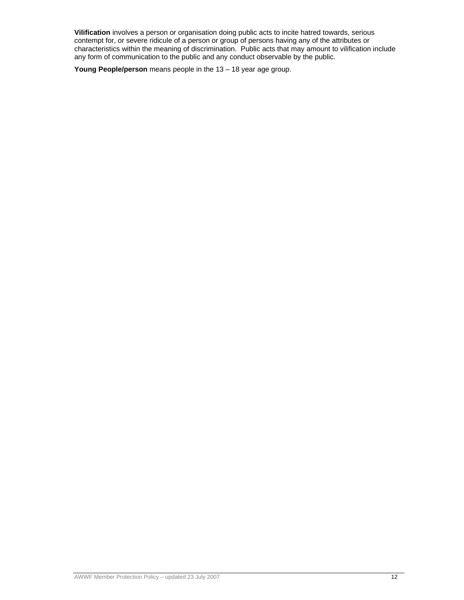**Vilification** involves a person or organisation doing public acts to incite hatred towards, serious contempt for, or severe ridicule of a person or group of persons having any of the attributes or characteristics within the meaning of discrimination. Public acts that may amount to vilification include any form of communication to the public and any conduct observable by the public.

**Young People/person** means people in the 13 – 18 year age group.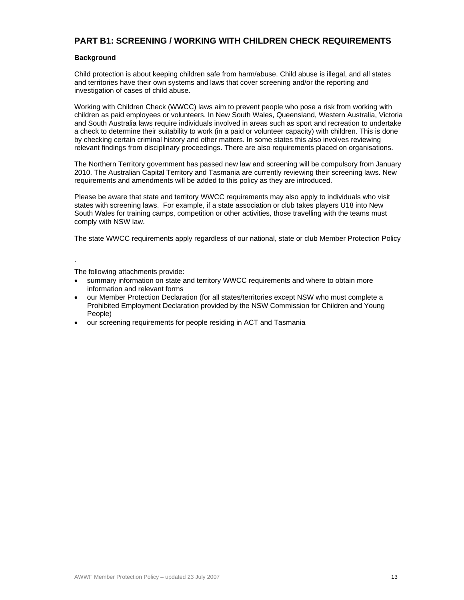# **PART B1: SCREENING / WORKING WITH CHILDREN CHECK REQUIREMENTS**

#### **Background**

Child protection is about keeping children safe from harm/abuse. Child abuse is illegal, and all states and territories have their own systems and laws that cover screening and/or the reporting and investigation of cases of child abuse.

Working with Children Check (WWCC) laws aim to prevent people who pose a risk from working with children as paid employees or volunteers. In New South Wales, Queensland, Western Australia, Victoria and South Australia laws require individuals involved in areas such as sport and recreation to undertake a check to determine their suitability to work (in a paid or volunteer capacity) with children. This is done by checking certain criminal history and other matters. In some states this also involves reviewing relevant findings from disciplinary proceedings. There are also requirements placed on organisations.

The Northern Territory government has passed new law and screening will be compulsory from January 2010. The Australian Capital Territory and Tasmania are currently reviewing their screening laws. New requirements and amendments will be added to this policy as they are introduced.

Please be aware that state and territory WWCC requirements may also apply to individuals who visit states with screening laws. For example, if a state association or club takes players U18 into New South Wales for training camps, competition or other activities, those travelling with the teams must comply with NSW law.

The state WWCC requirements apply regardless of our national, state or club Member Protection Policy

.

The following attachments provide:

- summary information on state and territory WWCC requirements and where to obtain more information and relevant forms
- our Member Protection Declaration (for all states/territories except NSW who must complete a Prohibited Employment Declaration provided by the NSW Commission for Children and Young People)
- our screening requirements for people residing in ACT and Tasmania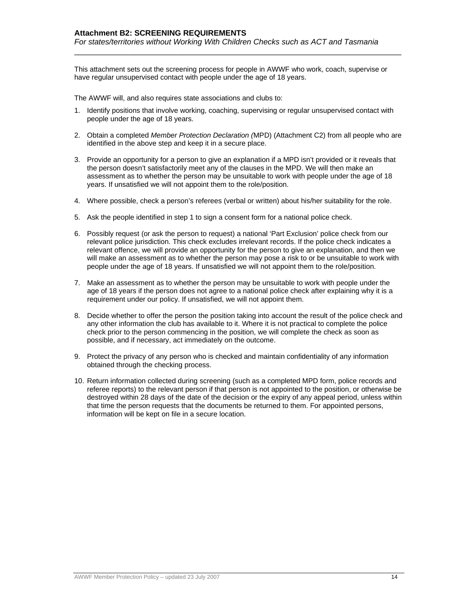This attachment sets out the screening process for people in AWWF who work, coach, supervise or have regular unsupervised contact with people under the age of 18 years.

\_\_\_\_\_\_\_\_\_\_\_\_\_\_\_\_\_\_\_\_\_\_\_\_\_\_\_\_\_\_\_\_\_\_\_\_\_\_\_\_\_\_\_\_\_\_\_\_\_\_\_\_\_\_\_\_\_\_\_\_\_\_\_\_\_\_\_\_\_\_\_\_\_\_\_

The AWWF will, and also requires state associations and clubs to:

- 1. Identify positions that involve working, coaching, supervising or regular unsupervised contact with people under the age of 18 years.
- 2. Obtain a completed *Member Protection Declaration (*MPD) (Attachment C2) from all people who are identified in the above step and keep it in a secure place.
- 3. Provide an opportunity for a person to give an explanation if a MPD isn't provided or it reveals that the person doesn't satisfactorily meet any of the clauses in the MPD. We will then make an assessment as to whether the person may be unsuitable to work with people under the age of 18 years. If unsatisfied we will not appoint them to the role/position.
- 4. Where possible, check a person's referees (verbal or written) about his/her suitability for the role.
- 5. Ask the people identified in step 1 to sign a consent form for a national police check.
- 6. Possibly request (or ask the person to request) a national 'Part Exclusion' police check from our relevant police jurisdiction. This check excludes irrelevant records. If the police check indicates a relevant offence, we will provide an opportunity for the person to give an explanation, and then we will make an assessment as to whether the person may pose a risk to or be unsuitable to work with people under the age of 18 years. If unsatisfied we will not appoint them to the role/position.
- 7. Make an assessment as to whether the person may be unsuitable to work with people under the age of 18 years if the person does not agree to a national police check after explaining why it is a requirement under our policy. If unsatisfied, we will not appoint them.
- 8. Decide whether to offer the person the position taking into account the result of the police check and any other information the club has available to it. Where it is not practical to complete the police check prior to the person commencing in the position, we will complete the check as soon as possible, and if necessary, act immediately on the outcome.
- 9. Protect the privacy of any person who is checked and maintain confidentiality of any information obtained through the checking process.
- 10. Return information collected during screening (such as a completed MPD form, police records and referee reports) to the relevant person if that person is not appointed to the position, or otherwise be destroyed within 28 days of the date of the decision or the expiry of any appeal period, unless within that time the person requests that the documents be returned to them. For appointed persons, information will be kept on file in a secure location.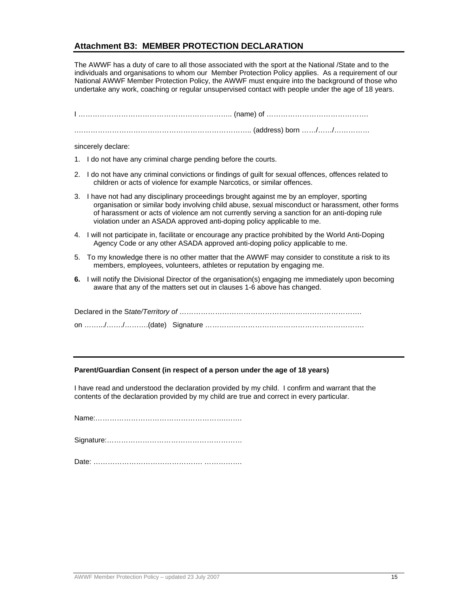# **Attachment B3: MEMBER PROTECTION DECLARATION**

The AWWF has a duty of care to all those associated with the sport at the National /State and to the individuals and organisations to whom our Member Protection Policy applies. As a requirement of our National AWWF Member Protection Policy, the AWWF must enquire into the background of those who undertake any work, coaching or regular unsupervised contact with people under the age of 18 years.

| sincerely declare:                                                                                                                                                                                                                                                                                                                                                        |
|---------------------------------------------------------------------------------------------------------------------------------------------------------------------------------------------------------------------------------------------------------------------------------------------------------------------------------------------------------------------------|
| 1. I do not have any criminal charge pending before the courts.                                                                                                                                                                                                                                                                                                           |
| 2. I do not have any criminal convictions or findings of guilt for sexual offences, offences related to<br>children or acts of violence for example Narcotics, or similar offences.                                                                                                                                                                                       |
| 3. I have not had any disciplinary proceedings brought against me by an employer, sporting<br>organisation or similar body involving child abuse, sexual misconduct or harassment, other forms<br>of harassment or acts of violence am not currently serving a sanction for an anti-doping rule<br>violation under an ASADA approved anti-doping policy applicable to me. |
| 4. I will not participate in, facilitate or encourage any practice prohibited by the World Anti-Doping<br>Agency Code or any other ASADA approved anti-doping policy applicable to me.                                                                                                                                                                                    |
| 5. To my knowledge there is no other matter that the AWWF may consider to constitute a risk to its<br>members, employees, volunteers, athletes or reputation by engaging me.                                                                                                                                                                                              |
| 6. I will notify the Divisional Director of the organisation(s) engaging me immediately upon becoming<br>aware that any of the matters set out in clauses 1-6 above has changed.                                                                                                                                                                                          |
|                                                                                                                                                                                                                                                                                                                                                                           |
|                                                                                                                                                                                                                                                                                                                                                                           |
|                                                                                                                                                                                                                                                                                                                                                                           |

#### **Parent/Guardian Consent (in respect of a person under the age of 18 years)**

I have read and understood the declaration provided by my child. I confirm and warrant that the contents of the declaration provided by my child are true and correct in every particular.

Name:……………………………………………….…….

|--|

|--|--|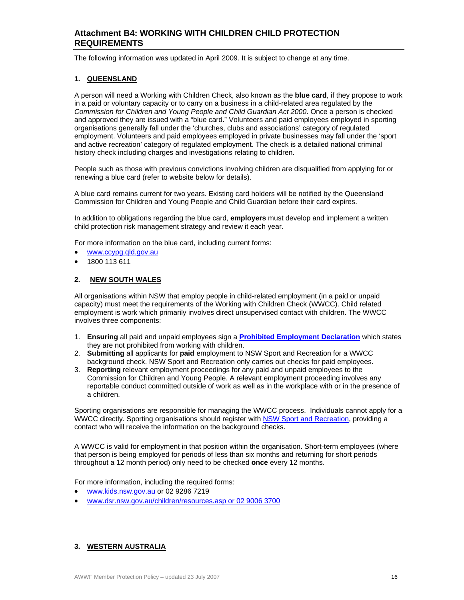# **Attachment B4: WORKING WITH CHILDREN CHILD PROTECTION REQUIREMENTS**

The following information was updated in April 2009. It is subject to change at any time.

#### **1. QUEENSLAND**

A person will need a Working with Children Check, also known as the **blue card**, if they propose to work in a paid or voluntary capacity or to carry on a business in a child-related area regulated by the *Commission for Children and Young People and Child Guardian Act 2000*. Once a person is checked and approved they are issued with a "blue card." Volunteers and paid employees employed in sporting organisations generally fall under the 'churches, clubs and associations' category of regulated employment. Volunteers and paid employees employed in private businesses may fall under the 'sport and active recreation' category of regulated employment. The check is a detailed national criminal history check including charges and investigations relating to children.

People such as those with previous convictions involving children are disqualified from applying for or renewing a blue card (refer to website below for details).

A blue card remains current for two years. Existing card holders will be notified by the Queensland Commission for Children and Young People and Child Guardian before their card expires.

In addition to obligations regarding the blue card, **employers** must develop and implement a written child protection risk management strategy and review it each year.

For more information on the blue card, including current forms:

- www.ccypg.qld.gov.au
- 1800 113 611

#### **2. NEW SOUTH WALES**

All organisations within NSW that employ people in child-related employment (in a paid or unpaid capacity) must meet the requirements of the Working with Children Check (WWCC). Child related employment is work which primarily involves direct unsupervised contact with children. The WWCC involves three components:

- 1. **Ensuring** all paid and unpaid employees sign a **Prohibited Employment Declaration** which states they are not prohibited from working with children.
- 2. **Submitting** all applicants for **paid** employment to NSW Sport and Recreation for a WWCC background check. NSW Sport and Recreation only carries out checks for paid employees.
- 3. **Reporting** relevant employment proceedings for any paid and unpaid employees to the Commission for Children and Young People. A relevant employment proceeding involves any reportable conduct committed outside of work as well as in the workplace with or in the presence of a children.

Sporting organisations are responsible for managing the WWCC process. Individuals cannot apply for a WWCC directly. Sporting organisations should register with NSW Sport and Recreation, providing a contact who will receive the information on the background checks.

A WWCC is valid for employment in that position within the organisation. Short-term employees (where that person is being employed for periods of less than six months and returning for short periods throughout a 12 month period) only need to be checked **once** every 12 months.

For more information, including the required forms:

- www.kids.nsw.gov.au or 02 9286 7219
- www.dsr.nsw.gov.au/children/resources.asp or 02 9006 3700

# **3. WESTERN AUSTRALIA**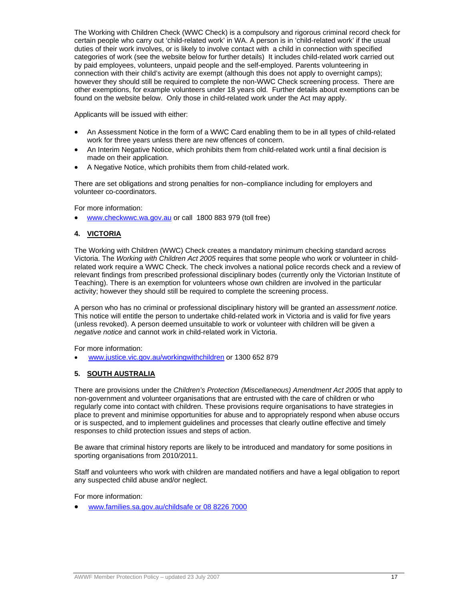The Working with Children Check (WWC Check) is a compulsory and rigorous criminal record check for certain people who carry out 'child-related work' in WA. A person is in 'child-related work' if the usual duties of their work involves, or is likely to involve contact with a child in connection with specified categories of work (see the website below for further details) It includes child-related work carried out by paid employees, volunteers, unpaid people and the self-employed. Parents volunteering in connection with their child's activity are exempt (although this does not apply to overnight camps); however they should still be required to complete the non-WWC Check screening process. There are other exemptions, for example volunteers under 18 years old. Further details about exemptions can be found on the website below. Only those in child-related work under the Act may apply.

Applicants will be issued with either:

- An Assessment Notice in the form of a WWC Card enabling them to be in all types of child-related work for three years unless there are new offences of concern.
- An Interim Negative Notice, which prohibits them from child-related work until a final decision is made on their application.
- A Negative Notice, which prohibits them from child-related work.

There are set obligations and strong penalties for non–compliance including for employers and volunteer co-coordinators.

For more information:

www.checkwwc.wa.gov.au or call 1800 883 979 (toll free)

### **4. VICTORIA**

The Working with Children (WWC) Check creates a mandatory minimum checking standard across Victoria. The *Working with Children Act 2005* requires that some people who work or volunteer in childrelated work require a WWC Check. The check involves a national police records check and a review of relevant findings from prescribed professional disciplinary bodes (currently only the Victorian Institute of Teaching). There is an exemption for volunteers whose own children are involved in the particular activity; however they should still be required to complete the screening process.

A person who has no criminal or professional disciplinary history will be granted an *assessment notice.*  This notice will entitle the person to undertake child-related work in Victoria and is valid for five years (unless revoked). A person deemed unsuitable to work or volunteer with children will be given a *negative notice* and cannot work in child-related work in Victoria.

For more information:

www.justice.vic.gov.au/workingwithchildren or 1300 652 879

#### **5. SOUTH AUSTRALIA**

There are provisions under the *Children's Protection (Miscellaneous) Amendment Act 2005* that apply to non-government and volunteer organisations that are entrusted with the care of children or who regularly come into contact with children. These provisions require organisations to have strategies in place to prevent and minimise opportunities for abuse and to appropriately respond when abuse occurs or is suspected, and to implement guidelines and processes that clearly outline effective and timely responses to child protection issues and steps of action.

Be aware that criminal history reports are likely to be introduced and mandatory for some positions in sporting organisations from 2010/2011.

Staff and volunteers who work with children are mandated notifiers and have a legal obligation to report any suspected child abuse and/or neglect.

For more information:

www.families.sa.gov.au/childsafe or 08 8226 7000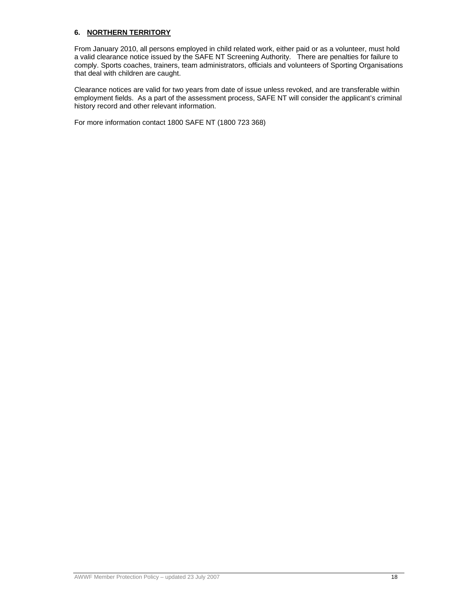#### **6. NORTHERN TERRITORY**

From January 2010, all persons employed in child related work, either paid or as a volunteer, must hold a valid clearance notice issued by the SAFE NT Screening Authority. There are penalties for failure to comply. Sports coaches, trainers, team administrators, officials and volunteers of Sporting Organisations that deal with children are caught.

Clearance notices are valid for two years from date of issue unless revoked, and are transferable within employment fields. As a part of the assessment process, SAFE NT will consider the applicant's criminal history record and other relevant information.

For more information contact 1800 SAFE NT (1800 723 368)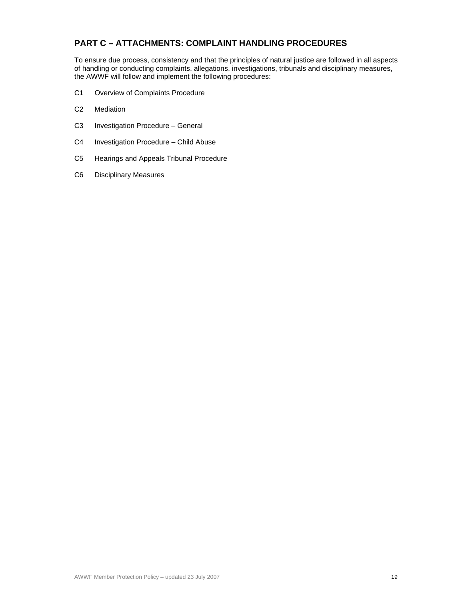# **PART C – ATTACHMENTS: COMPLAINT HANDLING PROCEDURES**

To ensure due process, consistency and that the principles of natural justice are followed in all aspects of handling or conducting complaints, allegations, investigations, tribunals and disciplinary measures, the AWWF will follow and implement the following procedures:

- C1 Overview of Complaints Procedure
- C2 Mediation
- C3 Investigation Procedure General
- C4 Investigation Procedure Child Abuse
- C5 Hearings and Appeals Tribunal Procedure
- C6 Disciplinary Measures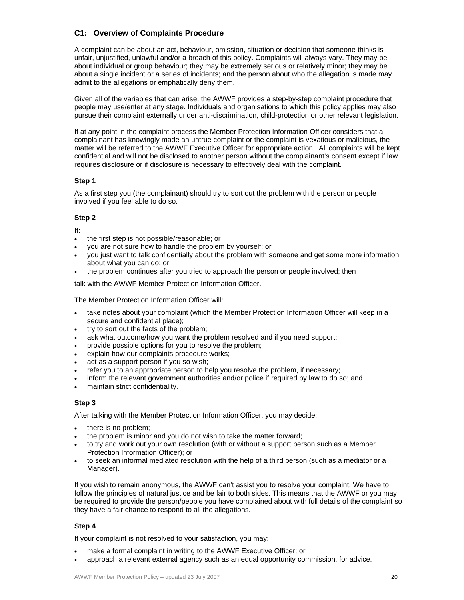# **C1: Overview of Complaints Procedure**

A complaint can be about an act, behaviour, omission, situation or decision that someone thinks is unfair, unjustified, unlawful and/or a breach of this policy. Complaints will always vary. They may be about individual or group behaviour; they may be extremely serious or relatively minor; they may be about a single incident or a series of incidents; and the person about who the allegation is made may admit to the allegations or emphatically deny them.

Given all of the variables that can arise, the AWWF provides a step-by-step complaint procedure that people may use/enter at any stage. Individuals and organisations to which this policy applies may also pursue their complaint externally under anti-discrimination, child-protection or other relevant legislation.

If at any point in the complaint process the Member Protection Information Officer considers that a complainant has knowingly made an untrue complaint or the complaint is vexatious or malicious, the matter will be referred to the AWWF Executive Officer for appropriate action. All complaints will be kept confidential and will not be disclosed to another person without the complainant's consent except if law requires disclosure or if disclosure is necessary to effectively deal with the complaint.

#### **Step 1**

As a first step you (the complainant) should try to sort out the problem with the person or people involved if you feel able to do so.

#### **Step 2**

If:

- the first step is not possible/reasonable; or
- you are not sure how to handle the problem by yourself; or
- you just want to talk confidentially about the problem with someone and get some more information about what you can do; or
- the problem continues after you tried to approach the person or people involved; then

talk with the AWWF Member Protection Information Officer.

The Member Protection Information Officer will:

- take notes about your complaint (which the Member Protection Information Officer will keep in a secure and confidential place);
- try to sort out the facts of the problem;
- ask what outcome/how you want the problem resolved and if you need support;
- provide possible options for you to resolve the problem;
- explain how our complaints procedure works;
- act as a support person if you so wish;
- refer you to an appropriate person to help you resolve the problem, if necessary;
- inform the relevant government authorities and/or police if required by law to do so; and
- maintain strict confidentiality.

#### **Step 3**

After talking with the Member Protection Information Officer, you may decide:

- there is no problem;
- the problem is minor and you do not wish to take the matter forward;
- to try and work out your own resolution (with or without a support person such as a Member Protection Information Officer); or
- to seek an informal mediated resolution with the help of a third person (such as a mediator or a Manager).

If you wish to remain anonymous, the AWWF can't assist you to resolve your complaint. We have to follow the principles of natural justice and be fair to both sides. This means that the AWWF or you may be required to provide the person/people you have complained about with full details of the complaint so they have a fair chance to respond to all the allegations.

#### **Step 4**

If your complaint is not resolved to your satisfaction, you may:

- make a formal complaint in writing to the AWWF Executive Officer; or
- approach a relevant external agency such as an equal opportunity commission, for advice.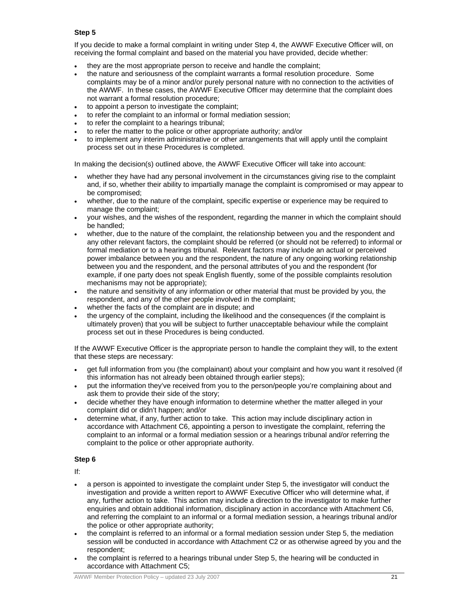### **Step 5**

If you decide to make a formal complaint in writing under Step 4, the AWWF Executive Officer will, on receiving the formal complaint and based on the material you have provided, decide whether:

- they are the most appropriate person to receive and handle the complaint;
- the nature and seriousness of the complaint warrants a formal resolution procedure. Some complaints may be of a minor and/or purely personal nature with no connection to the activities of the AWWF. In these cases, the AWWF Executive Officer may determine that the complaint does not warrant a formal resolution procedure;
- to appoint a person to investigate the complaint;
- to refer the complaint to an informal or formal mediation session;
- to refer the complaint to a hearings tribunal;
- to refer the matter to the police or other appropriate authority; and/or
- to implement any interim administrative or other arrangements that will apply until the complaint process set out in these Procedures is completed.

In making the decision(s) outlined above, the AWWF Executive Officer will take into account:

- whether they have had any personal involvement in the circumstances giving rise to the complaint and, if so, whether their ability to impartially manage the complaint is compromised or may appear to be compromised;
- whether, due to the nature of the complaint, specific expertise or experience may be required to manage the complaint;
- your wishes, and the wishes of the respondent, regarding the manner in which the complaint should be handled;
- whether, due to the nature of the complaint, the relationship between you and the respondent and any other relevant factors, the complaint should be referred (or should not be referred) to informal or formal mediation or to a hearings tribunal. Relevant factors may include an actual or perceived power imbalance between you and the respondent, the nature of any ongoing working relationship between you and the respondent, and the personal attributes of you and the respondent (for example, if one party does not speak English fluently, some of the possible complaints resolution mechanisms may not be appropriate);
- the nature and sensitivity of any information or other material that must be provided by you, the respondent, and any of the other people involved in the complaint;
- whether the facts of the complaint are in dispute; and
- the urgency of the complaint, including the likelihood and the consequences (if the complaint is ultimately proven) that you will be subject to further unacceptable behaviour while the complaint process set out in these Procedures is being conducted.

If the AWWF Executive Officer is the appropriate person to handle the complaint they will, to the extent that these steps are necessary:

- get full information from you (the complainant) about your complaint and how you want it resolved (if this information has not already been obtained through earlier steps);
- put the information they've received from you to the person/people you're complaining about and ask them to provide their side of the story;
- decide whether they have enough information to determine whether the matter alleged in your complaint did or didn't happen; and/or
- determine what, if any, further action to take. This action may include disciplinary action in accordance with Attachment C6, appointing a person to investigate the complaint, referring the complaint to an informal or a formal mediation session or a hearings tribunal and/or referring the complaint to the police or other appropriate authority.

#### **Step 6**

If:

- a person is appointed to investigate the complaint under Step 5, the investigator will conduct the investigation and provide a written report to AWWF Executive Officer who will determine what, if any, further action to take. This action may include a direction to the investigator to make further enquiries and obtain additional information, disciplinary action in accordance with Attachment C6, and referring the complaint to an informal or a formal mediation session, a hearings tribunal and/or the police or other appropriate authority;
- the complaint is referred to an informal or a formal mediation session under Step 5, the mediation session will be conducted in accordance with Attachment C2 or as otherwise agreed by you and the respondent;
- the complaint is referred to a hearings tribunal under Step 5, the hearing will be conducted in accordance with Attachment C5;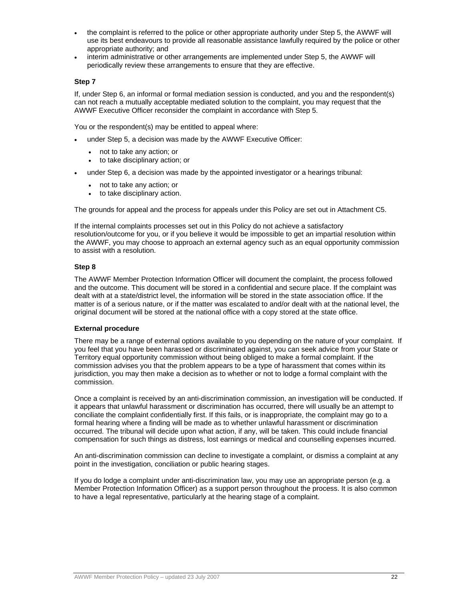- the complaint is referred to the police or other appropriate authority under Step 5, the AWWF will use its best endeavours to provide all reasonable assistance lawfully required by the police or other appropriate authority; and
- interim administrative or other arrangements are implemented under Step 5, the AWWF will periodically review these arrangements to ensure that they are effective.

#### **Step 7**

If, under Step 6, an informal or formal mediation session is conducted, and you and the respondent(s) can not reach a mutually acceptable mediated solution to the complaint, you may request that the AWWF Executive Officer reconsider the complaint in accordance with Step 5.

You or the respondent(s) may be entitled to appeal where:

- under Step 5, a decision was made by the AWWF Executive Officer:
	- not to take any action; or
	- to take disciplinary action; or
- under Step 6, a decision was made by the appointed investigator or a hearings tribunal:
	- not to take any action; or
	- to take disciplinary action.

The grounds for appeal and the process for appeals under this Policy are set out in Attachment C5.

If the internal complaints processes set out in this Policy do not achieve a satisfactory resolution/outcome for you, or if you believe it would be impossible to get an impartial resolution within the AWWF, you may choose to approach an external agency such as an equal opportunity commission to assist with a resolution.

#### **Step 8**

The AWWF Member Protection Information Officer will document the complaint, the process followed and the outcome. This document will be stored in a confidential and secure place. If the complaint was dealt with at a state/district level, the information will be stored in the state association office. If the matter is of a serious nature, or if the matter was escalated to and/or dealt with at the national level, the original document will be stored at the national office with a copy stored at the state office.

#### **External procedure**

There may be a range of external options available to you depending on the nature of your complaint. If you feel that you have been harassed or discriminated against, you can seek advice from your State or Territory equal opportunity commission without being obliged to make a formal complaint. If the commission advises you that the problem appears to be a type of harassment that comes within its jurisdiction, you may then make a decision as to whether or not to lodge a formal complaint with the commission.

Once a complaint is received by an anti-discrimination commission, an investigation will be conducted. If it appears that unlawful harassment or discrimination has occurred, there will usually be an attempt to conciliate the complaint confidentially first. If this fails, or is inappropriate, the complaint may go to a formal hearing where a finding will be made as to whether unlawful harassment or discrimination occurred. The tribunal will decide upon what action, if any, will be taken. This could include financial compensation for such things as distress, lost earnings or medical and counselling expenses incurred.

An anti-discrimination commission can decline to investigate a complaint, or dismiss a complaint at any point in the investigation, conciliation or public hearing stages.

If you do lodge a complaint under anti-discrimination law, you may use an appropriate person (e.g. a Member Protection Information Officer) as a support person throughout the process. It is also common to have a legal representative, particularly at the hearing stage of a complaint.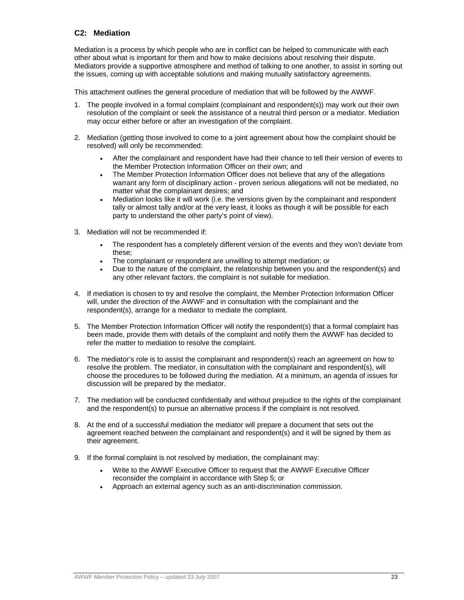# **C2: Mediation**

Mediation is a process by which people who are in conflict can be helped to communicate with each other about what is important for them and how to make decisions about resolving their dispute. Mediators provide a supportive atmosphere and method of talking to one another, to assist in sorting out the issues, coming up with acceptable solutions and making mutually satisfactory agreements.

This attachment outlines the general procedure of mediation that will be followed by the AWWF.

- 1. The people involved in a formal complaint (complainant and respondent(s)) may work out their own resolution of the complaint or seek the assistance of a neutral third person or a mediator. Mediation may occur either before or after an investigation of the complaint.
- 2. Mediation (getting those involved to come to a joint agreement about how the complaint should be resolved) will only be recommended:
	- After the complainant and respondent have had their chance to tell their version of events to the Member Protection Information Officer on their own; and
	- The Member Protection Information Officer does not believe that any of the allegations warrant any form of disciplinary action - proven serious allegations will not be mediated, no matter what the complainant desires; and
	- Mediation looks like it will work (i.e. the versions given by the complainant and respondent tally or almost tally and/or at the very least, it looks as though it will be possible for each party to understand the other party's point of view).
- 3. Mediation will not be recommended if:
	- The respondent has a completely different version of the events and they won't deviate from these;
	- The complainant or respondent are unwilling to attempt mediation; or
	- Due to the nature of the complaint, the relationship between you and the respondent(s) and any other relevant factors, the complaint is not suitable for mediation.
- 4. If mediation is chosen to try and resolve the complaint, the Member Protection Information Officer will, under the direction of the AWWF and in consultation with the complainant and the respondent(s), arrange for a mediator to mediate the complaint.
- 5. The Member Protection Information Officer will notify the respondent(s) that a formal complaint has been made, provide them with details of the complaint and notify them the AWWF has decided to refer the matter to mediation to resolve the complaint.
- 6. The mediator's role is to assist the complainant and respondent(s) reach an agreement on how to resolve the problem. The mediator, in consultation with the complainant and respondent(s), will choose the procedures to be followed during the mediation. At a minimum, an agenda of issues for discussion will be prepared by the mediator.
- 7. The mediation will be conducted confidentially and without prejudice to the rights of the complainant and the respondent(s) to pursue an alternative process if the complaint is not resolved.
- 8. At the end of a successful mediation the mediator will prepare a document that sets out the agreement reached between the complainant and respondent(s) and it will be signed by them as their agreement.
- 9. If the formal complaint is not resolved by mediation, the complainant may:
	- Write to the AWWF Executive Officer to request that the AWWF Executive Officer reconsider the complaint in accordance with Step 5; or
	- Approach an external agency such as an anti-discrimination commission.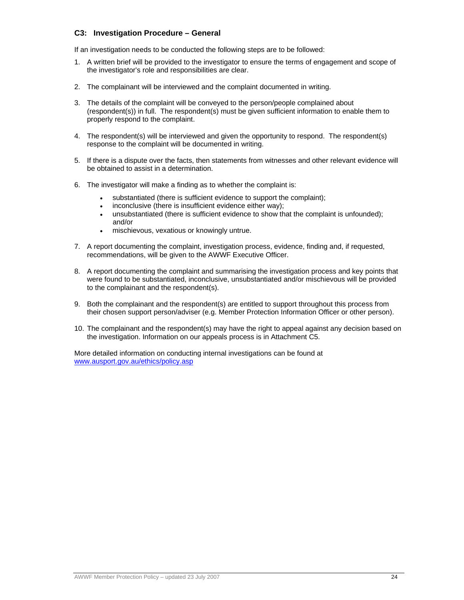### **C3: Investigation Procedure – General**

If an investigation needs to be conducted the following steps are to be followed:

- 1. A written brief will be provided to the investigator to ensure the terms of engagement and scope of the investigator's role and responsibilities are clear.
- 2. The complainant will be interviewed and the complaint documented in writing.
- 3. The details of the complaint will be conveyed to the person/people complained about (respondent(s)) in full. The respondent(s) must be given sufficient information to enable them to properly respond to the complaint.
- 4. The respondent(s) will be interviewed and given the opportunity to respond. The respondent(s) response to the complaint will be documented in writing.
- 5. If there is a dispute over the facts, then statements from witnesses and other relevant evidence will be obtained to assist in a determination.
- 6. The investigator will make a finding as to whether the complaint is:
	- substantiated (there is sufficient evidence to support the complaint);
	- inconclusive (there is insufficient evidence either way);
	- unsubstantiated (there is sufficient evidence to show that the complaint is unfounded); and/or
	- mischievous, vexatious or knowingly untrue.
- 7. A report documenting the complaint, investigation process, evidence, finding and, if requested, recommendations, will be given to the AWWF Executive Officer.
- 8. A report documenting the complaint and summarising the investigation process and key points that were found to be substantiated, inconclusive, unsubstantiated and/or mischievous will be provided to the complainant and the respondent(s).
- 9. Both the complainant and the respondent(s) are entitled to support throughout this process from their chosen support person/adviser (e.g. Member Protection Information Officer or other person).
- 10. The complainant and the respondent(s) may have the right to appeal against any decision based on the investigation. Information on our appeals process is in Attachment C5.

More detailed information on conducting internal investigations can be found at www.ausport.gov.au/ethics/policy.asp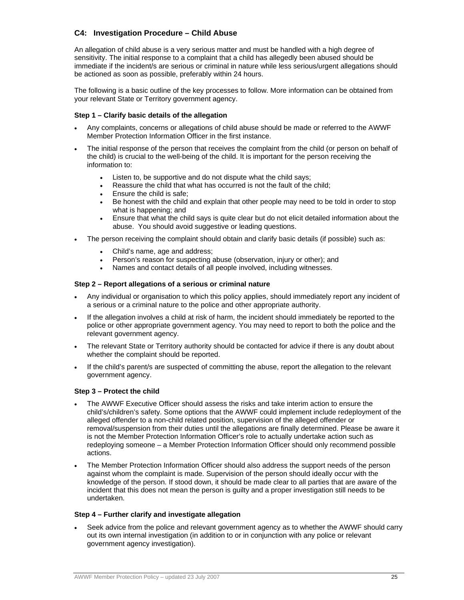# **C4: Investigation Procedure – Child Abuse**

An allegation of child abuse is a very serious matter and must be handled with a high degree of sensitivity. The initial response to a complaint that a child has allegedly been abused should be immediate if the incident/s are serious or criminal in nature while less serious/urgent allegations should be actioned as soon as possible, preferably within 24 hours.

The following is a basic outline of the key processes to follow. More information can be obtained from your relevant State or Territory government agency.

#### **Step 1 – Clarify basic details of the allegation**

- Any complaints, concerns or allegations of child abuse should be made or referred to the AWWF Member Protection Information Officer in the first instance.
- The initial response of the person that receives the complaint from the child (or person on behalf of the child) is crucial to the well-being of the child. It is important for the person receiving the information to:
	- Listen to, be supportive and do not dispute what the child says;
	- Reassure the child that what has occurred is not the fault of the child;
	- **Ensure the child is safe:**
	- Be honest with the child and explain that other people may need to be told in order to stop what is happening; and
	- Ensure that what the child says is quite clear but do not elicit detailed information about the abuse. You should avoid suggestive or leading questions.
- The person receiving the complaint should obtain and clarify basic details (if possible) such as:
	- Child's name, age and address;
	- Person's reason for suspecting abuse (observation, injury or other); and
	- Names and contact details of all people involved, including witnesses.

#### **Step 2 – Report allegations of a serious or criminal nature**

- Any individual or organisation to which this policy applies, should immediately report any incident of a serious or a criminal nature to the police and other appropriate authority.
- If the allegation involves a child at risk of harm, the incident should immediately be reported to the police or other appropriate government agency. You may need to report to both the police and the relevant government agency.
- The relevant State or Territory authority should be contacted for advice if there is any doubt about whether the complaint should be reported.
- If the child's parent/s are suspected of committing the abuse, report the allegation to the relevant government agency.

#### **Step 3 – Protect the child**

- The AWWF Executive Officer should assess the risks and take interim action to ensure the child's/children's safety. Some options that the AWWF could implement include redeployment of the alleged offender to a non-child related position, supervision of the alleged offender or removal/suspension from their duties until the allegations are finally determined. Please be aware it is not the Member Protection Information Officer's role to actually undertake action such as redeploying someone – a Member Protection Information Officer should only recommend possible actions.
- The Member Protection Information Officer should also address the support needs of the person against whom the complaint is made. Supervision of the person should ideally occur with the knowledge of the person. If stood down, it should be made clear to all parties that are aware of the incident that this does not mean the person is guilty and a proper investigation still needs to be undertaken.

#### **Step 4 – Further clarify and investigate allegation**

 Seek advice from the police and relevant government agency as to whether the AWWF should carry out its own internal investigation (in addition to or in conjunction with any police or relevant government agency investigation).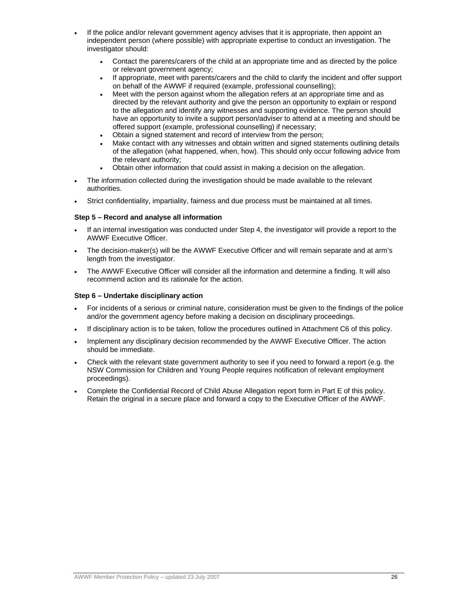- If the police and/or relevant government agency advises that it is appropriate, then appoint an independent person (where possible) with appropriate expertise to conduct an investigation. The investigator should:
	- Contact the parents/carers of the child at an appropriate time and as directed by the police or relevant government agency;
	- If appropriate, meet with parents/carers and the child to clarify the incident and offer support on behalf of the AWWF if required (example, professional counselling);
	- Meet with the person against whom the allegation refers at an appropriate time and as directed by the relevant authority and give the person an opportunity to explain or respond to the allegation and identify any witnesses and supporting evidence. The person should have an opportunity to invite a support person/adviser to attend at a meeting and should be offered support (example, professional counselling) if necessary;
	- Obtain a signed statement and record of interview from the person;
	- Make contact with any witnesses and obtain written and signed statements outlining details of the allegation (what happened, when, how). This should only occur following advice from the relevant authority;
	- Obtain other information that could assist in making a decision on the allegation.
- The information collected during the investigation should be made available to the relevant authorities.
- Strict confidentiality, impartiality, fairness and due process must be maintained at all times.

#### **Step 5 – Record and analyse all information**

- If an internal investigation was conducted under Step 4, the investigator will provide a report to the AWWF Executive Officer.
- The decision-maker(s) will be the AWWF Executive Officer and will remain separate and at arm's length from the investigator.
- The AWWF Executive Officer will consider all the information and determine a finding. It will also recommend action and its rationale for the action.

#### **Step 6 – Undertake disciplinary action**

- For incidents of a serious or criminal nature, consideration must be given to the findings of the police and/or the government agency before making a decision on disciplinary proceedings.
- If disciplinary action is to be taken, follow the procedures outlined in Attachment C6 of this policy.
- Implement any disciplinary decision recommended by the AWWF Executive Officer. The action should be immediate.
- Check with the relevant state government authority to see if you need to forward a report (e.g. the NSW Commission for Children and Young People requires notification of relevant employment proceedings).
- Complete the Confidential Record of Child Abuse Allegation report form in Part E of this policy. Retain the original in a secure place and forward a copy to the Executive Officer of the AWWF.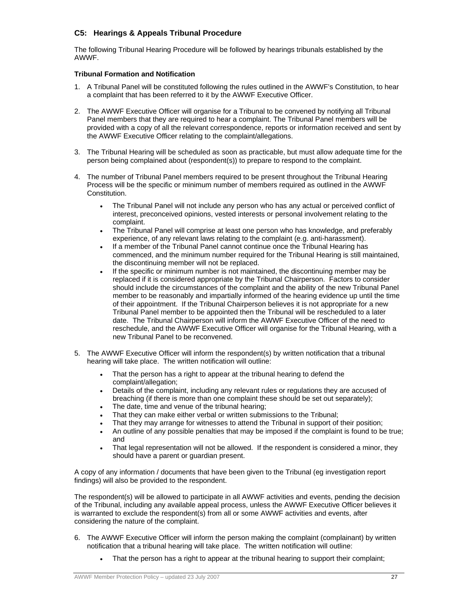# **C5: Hearings & Appeals Tribunal Procedure**

The following Tribunal Hearing Procedure will be followed by hearings tribunals established by the AWWF.

#### **Tribunal Formation and Notification**

- 1. A Tribunal Panel will be constituted following the rules outlined in the AWWF's Constitution, to hear a complaint that has been referred to it by the AWWF Executive Officer.
- 2. The AWWF Executive Officer will organise for a Tribunal to be convened by notifying all Tribunal Panel members that they are required to hear a complaint. The Tribunal Panel members will be provided with a copy of all the relevant correspondence, reports or information received and sent by the AWWF Executive Officer relating to the complaint/allegations.
- 3. The Tribunal Hearing will be scheduled as soon as practicable, but must allow adequate time for the person being complained about (respondent(s)) to prepare to respond to the complaint.
- 4. The number of Tribunal Panel members required to be present throughout the Tribunal Hearing Process will be the specific or minimum number of members required as outlined in the AWWF Constitution.
	- The Tribunal Panel will not include any person who has any actual or perceived conflict of interest, preconceived opinions, vested interests or personal involvement relating to the complaint.
	- The Tribunal Panel will comprise at least one person who has knowledge, and preferably experience, of any relevant laws relating to the complaint (e.g. anti-harassment).
	- If a member of the Tribunal Panel cannot continue once the Tribunal Hearing has commenced, and the minimum number required for the Tribunal Hearing is still maintained, the discontinuing member will not be replaced.
	- If the specific or minimum number is not maintained, the discontinuing member may be replaced if it is considered appropriate by the Tribunal Chairperson. Factors to consider should include the circumstances of the complaint and the ability of the new Tribunal Panel member to be reasonably and impartially informed of the hearing evidence up until the time of their appointment. If the Tribunal Chairperson believes it is not appropriate for a new Tribunal Panel member to be appointed then the Tribunal will be rescheduled to a later date. The Tribunal Chairperson will inform the AWWF Executive Officer of the need to reschedule, and the AWWF Executive Officer will organise for the Tribunal Hearing, with a new Tribunal Panel to be reconvened.
- 5. The AWWF Executive Officer will inform the respondent(s) by written notification that a tribunal hearing will take place. The written notification will outline:
	- That the person has a right to appear at the tribunal hearing to defend the complaint/allegation;
	- Details of the complaint, including any relevant rules or regulations they are accused of breaching (if there is more than one complaint these should be set out separately);
	- The date, time and venue of the tribunal hearing;
	- That they can make either verbal or written submissions to the Tribunal;
	- That they may arrange for witnesses to attend the Tribunal in support of their position;
	- An outline of any possible penalties that may be imposed if the complaint is found to be true; and
	- That legal representation will not be allowed. If the respondent is considered a minor, they should have a parent or guardian present.

A copy of any information / documents that have been given to the Tribunal (eg investigation report findings) will also be provided to the respondent.

The respondent(s) will be allowed to participate in all AWWF activities and events, pending the decision of the Tribunal, including any available appeal process, unless the AWWF Executive Officer believes it is warranted to exclude the respondent(s) from all or some AWWF activities and events, after considering the nature of the complaint.

- 6. The AWWF Executive Officer will inform the person making the complaint (complainant) by written notification that a tribunal hearing will take place. The written notification will outline:
	- That the person has a right to appear at the tribunal hearing to support their complaint;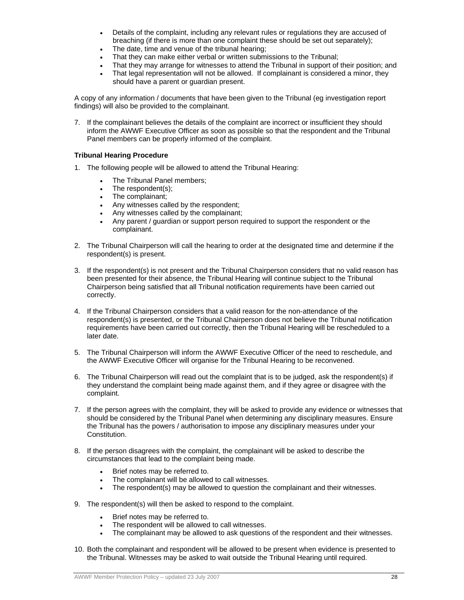- Details of the complaint, including any relevant rules or regulations they are accused of breaching (if there is more than one complaint these should be set out separately);
- The date, time and venue of the tribunal hearing;
- That they can make either verbal or written submissions to the Tribunal;
- That they may arrange for witnesses to attend the Tribunal in support of their position; and
- That legal representation will not be allowed. If complainant is considered a minor, they should have a parent or guardian present.

A copy of any information / documents that have been given to the Tribunal (eg investigation report findings) will also be provided to the complainant.

7. If the complainant believes the details of the complaint are incorrect or insufficient they should inform the AWWF Executive Officer as soon as possible so that the respondent and the Tribunal Panel members can be properly informed of the complaint.

#### **Tribunal Hearing Procedure**

- 1. The following people will be allowed to attend the Tribunal Hearing:
	- The Tribunal Panel members;
	- The respondent(s);
	- The complainant;
	- Any witnesses called by the respondent;
	- Any witnesses called by the complainant;
	- Any parent / guardian or support person required to support the respondent or the complainant.
- 2. The Tribunal Chairperson will call the hearing to order at the designated time and determine if the respondent(s) is present.
- 3. If the respondent(s) is not present and the Tribunal Chairperson considers that no valid reason has been presented for their absence, the Tribunal Hearing will continue subject to the Tribunal Chairperson being satisfied that all Tribunal notification requirements have been carried out correctly.
- 4. If the Tribunal Chairperson considers that a valid reason for the non-attendance of the respondent(s) is presented, or the Tribunal Chairperson does not believe the Tribunal notification requirements have been carried out correctly, then the Tribunal Hearing will be rescheduled to a later date.
- 5. The Tribunal Chairperson will inform the AWWF Executive Officer of the need to reschedule, and the AWWF Executive Officer will organise for the Tribunal Hearing to be reconvened.
- 6. The Tribunal Chairperson will read out the complaint that is to be judged, ask the respondent(s) if they understand the complaint being made against them, and if they agree or disagree with the complaint.
- 7. If the person agrees with the complaint, they will be asked to provide any evidence or witnesses that should be considered by the Tribunal Panel when determining any disciplinary measures. Ensure the Tribunal has the powers / authorisation to impose any disciplinary measures under your Constitution.
- 8. If the person disagrees with the complaint, the complainant will be asked to describe the circumstances that lead to the complaint being made.
	- Brief notes may be referred to.
	- The complainant will be allowed to call witnesses.
	- The respondent(s) may be allowed to question the complainant and their witnesses.
- 9. The respondent(s) will then be asked to respond to the complaint.
	- Brief notes may be referred to.
	- The respondent will be allowed to call witnesses.
	- The complainant may be allowed to ask questions of the respondent and their witnesses.
- 10. Both the complainant and respondent will be allowed to be present when evidence is presented to the Tribunal. Witnesses may be asked to wait outside the Tribunal Hearing until required.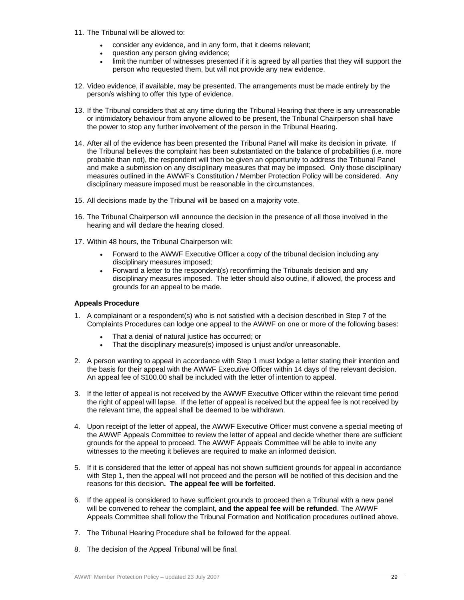- 11. The Tribunal will be allowed to:
	- consider any evidence, and in any form, that it deems relevant;
	- question any person giving evidence;
	- limit the number of witnesses presented if it is agreed by all parties that they will support the person who requested them, but will not provide any new evidence.
- 12. Video evidence, if available, may be presented. The arrangements must be made entirely by the person/s wishing to offer this type of evidence.
- 13. If the Tribunal considers that at any time during the Tribunal Hearing that there is any unreasonable or intimidatory behaviour from anyone allowed to be present, the Tribunal Chairperson shall have the power to stop any further involvement of the person in the Tribunal Hearing.
- 14. After all of the evidence has been presented the Tribunal Panel will make its decision in private. If the Tribunal believes the complaint has been substantiated on the balance of probabilities (i.e. more probable than not), the respondent will then be given an opportunity to address the Tribunal Panel and make a submission on any disciplinary measures that may be imposed. Only those disciplinary measures outlined in the AWWF's Constitution / Member Protection Policy will be considered. Any disciplinary measure imposed must be reasonable in the circumstances.
- 15. All decisions made by the Tribunal will be based on a majority vote.
- 16. The Tribunal Chairperson will announce the decision in the presence of all those involved in the hearing and will declare the hearing closed.
- 17. Within 48 hours, the Tribunal Chairperson will:
	- Forward to the AWWF Executive Officer a copy of the tribunal decision including any disciplinary measures imposed;
	- Forward a letter to the respondent(s) reconfirming the Tribunals decision and any disciplinary measures imposed. The letter should also outline, if allowed, the process and grounds for an appeal to be made.

#### **Appeals Procedure**

- 1. A complainant or a respondent(s) who is not satisfied with a decision described in Step 7 of the Complaints Procedures can lodge one appeal to the AWWF on one or more of the following bases:
	- That a denial of natural justice has occurred; or
	- That the disciplinary measure(s) imposed is unjust and/or unreasonable.
- 2. A person wanting to appeal in accordance with Step 1 must lodge a letter stating their intention and the basis for their appeal with the AWWF Executive Officer within 14 days of the relevant decision. An appeal fee of \$100.00 shall be included with the letter of intention to appeal.
- 3. If the letter of appeal is not received by the AWWF Executive Officer within the relevant time period the right of appeal will lapse. If the letter of appeal is received but the appeal fee is not received by the relevant time, the appeal shall be deemed to be withdrawn.
- 4. Upon receipt of the letter of appeal, the AWWF Executive Officer must convene a special meeting of the AWWF Appeals Committee to review the letter of appeal and decide whether there are sufficient grounds for the appeal to proceed. The AWWF Appeals Committee will be able to invite any witnesses to the meeting it believes are required to make an informed decision.
- 5. If it is considered that the letter of appeal has not shown sufficient grounds for appeal in accordance with Step 1, then the appeal will not proceed and the person will be notified of this decision and the reasons for this decision**. The appeal fee will be forfeited**.
- 6. If the appeal is considered to have sufficient grounds to proceed then a Tribunal with a new panel will be convened to rehear the complaint, **and the appeal fee will be refunded**. The AWWF Appeals Committee shall follow the Tribunal Formation and Notification procedures outlined above.
- 7. The Tribunal Hearing Procedure shall be followed for the appeal.
- 8. The decision of the Appeal Tribunal will be final.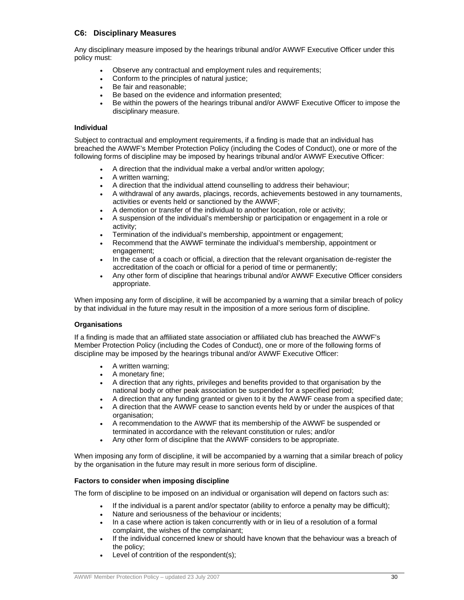### **C6: Disciplinary Measures**

Any disciplinary measure imposed by the hearings tribunal and/or AWWF Executive Officer under this policy must:

- Observe any contractual and employment rules and requirements;
- Conform to the principles of natural justice;
- Be fair and reasonable;
- Be based on the evidence and information presented;
- Be within the powers of the hearings tribunal and/or AWWF Executive Officer to impose the disciplinary measure.

#### **Individual**

Subject to contractual and employment requirements, if a finding is made that an individual has breached the AWWF's Member Protection Policy (including the Codes of Conduct), one or more of the following forms of discipline may be imposed by hearings tribunal and/or AWWF Executive Officer:

- A direction that the individual make a verbal and/or written apology;
- A written warning;
- A direction that the individual attend counselling to address their behaviour;
- A withdrawal of any awards, placings, records, achievements bestowed in any tournaments, activities or events held or sanctioned by the AWWF;
- A demotion or transfer of the individual to another location, role or activity;
- A suspension of the individual's membership or participation or engagement in a role or activity;
- Termination of the individual's membership, appointment or engagement;
- Recommend that the AWWF terminate the individual's membership, appointment or engagement;
- In the case of a coach or official, a direction that the relevant organisation de-register the accreditation of the coach or official for a period of time or permanently;
- Any other form of discipline that hearings tribunal and/or AWWF Executive Officer considers appropriate.

When imposing any form of discipline, it will be accompanied by a warning that a similar breach of policy by that individual in the future may result in the imposition of a more serious form of discipline.

#### **Organisations**

If a finding is made that an affiliated state association or affiliated club has breached the AWWF's Member Protection Policy (including the Codes of Conduct), one or more of the following forms of discipline may be imposed by the hearings tribunal and/or AWWF Executive Officer:

- A written warning;
- A monetary fine;
- A direction that any rights, privileges and benefits provided to that organisation by the national body or other peak association be suspended for a specified period;
- A direction that any funding granted or given to it by the AWWF cease from a specified date;
- A direction that the AWWF cease to sanction events held by or under the auspices of that organisation;
- A recommendation to the AWWF that its membership of the AWWF be suspended or terminated in accordance with the relevant constitution or rules; and/or
- Any other form of discipline that the AWWF considers to be appropriate.

When imposing any form of discipline, it will be accompanied by a warning that a similar breach of policy by the organisation in the future may result in more serious form of discipline.

#### **Factors to consider when imposing discipline**

The form of discipline to be imposed on an individual or organisation will depend on factors such as:

- If the individual is a parent and/or spectator (ability to enforce a penalty may be difficult);
- Nature and seriousness of the behaviour or incidents;
- In a case where action is taken concurrently with or in lieu of a resolution of a formal complaint, the wishes of the complainant;
- If the individual concerned knew or should have known that the behaviour was a breach of the policy;
- Level of contrition of the respondent(s);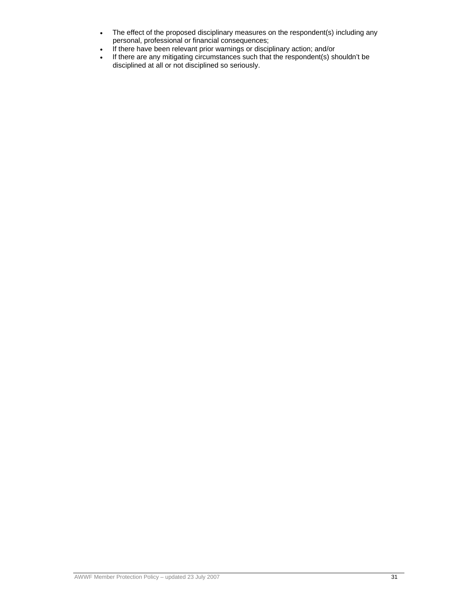- The effect of the proposed disciplinary measures on the respondent(s) including any personal, professional or financial consequences;
- If there have been relevant prior warnings or disciplinary action; and/or
- If there are any mitigating circumstances such that the respondent(s) shouldn't be disciplined at all or not disciplined so seriously.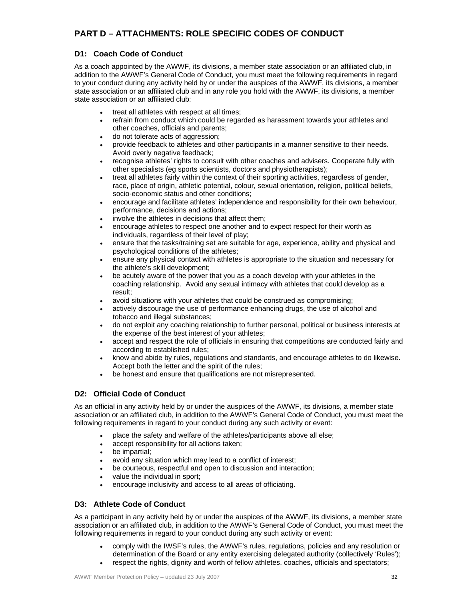# **PART D – ATTACHMENTS: ROLE SPECIFIC CODES OF CONDUCT**

# **D1: Coach Code of Conduct**

As a coach appointed by the AWWF, its divisions, a member state association or an affiliated club, in addition to the AWWF's General Code of Conduct, you must meet the following requirements in regard to your conduct during any activity held by or under the auspices of the AWWF, its divisions, a member state association or an affiliated club and in any role you hold with the AWWF, its divisions, a member state association or an affiliated club:

- treat all athletes with respect at all times;
- refrain from conduct which could be regarded as harassment towards your athletes and other coaches, officials and parents;
- do not tolerate acts of aggression;
- provide feedback to athletes and other participants in a manner sensitive to their needs. Avoid overly negative feedback;
- recognise athletes' rights to consult with other coaches and advisers. Cooperate fully with other specialists (eg sports scientists, doctors and physiotherapists);
- treat all athletes fairly within the context of their sporting activities, regardless of gender, race, place of origin, athletic potential, colour, sexual orientation, religion, political beliefs, socio-economic status and other conditions;
- encourage and facilitate athletes' independence and responsibility for their own behaviour, performance, decisions and actions;
- involve the athletes in decisions that affect them;
- encourage athletes to respect one another and to expect respect for their worth as individuals, regardless of their level of play;
- ensure that the tasks/training set are suitable for age, experience, ability and physical and psychological conditions of the athletes;
- ensure any physical contact with athletes is appropriate to the situation and necessary for the athlete's skill development;
- be acutely aware of the power that you as a coach develop with your athletes in the coaching relationship. Avoid any sexual intimacy with athletes that could develop as a result;
- avoid situations with your athletes that could be construed as compromising;
- actively discourage the use of performance enhancing drugs, the use of alcohol and tobacco and illegal substances;
- do not exploit any coaching relationship to further personal, political or business interests at the expense of the best interest of your athletes;
- accept and respect the role of officials in ensuring that competitions are conducted fairly and according to established rules;
- know and abide by rules, regulations and standards, and encourage athletes to do likewise. Accept both the letter and the spirit of the rules;
- be honest and ensure that qualifications are not misrepresented.

# **D2: Official Code of Conduct**

As an official in any activity held by or under the auspices of the AWWF, its divisions, a member state association or an affiliated club, in addition to the AWWF's General Code of Conduct, you must meet the following requirements in regard to your conduct during any such activity or event:

- place the safety and welfare of the athletes/participants above all else;
- accept responsibility for all actions taken;
- be impartial;
- avoid any situation which may lead to a conflict of interest;
- be courteous, respectful and open to discussion and interaction;
- value the individual in sport;
- encourage inclusivity and access to all areas of officiating.

# **D3: Athlete Code of Conduct**

As a participant in any activity held by or under the auspices of the AWWF, its divisions, a member state association or an affiliated club, in addition to the AWWF's General Code of Conduct, you must meet the following requirements in regard to your conduct during any such activity or event:

- comply with the IWSF's rules, the AWWF's rules, regulations, policies and any resolution or determination of the Board or any entity exercising delegated authority (collectively 'Rules'); respect the rights, dignity and worth of fellow athletes, coaches, officials and spectators;
-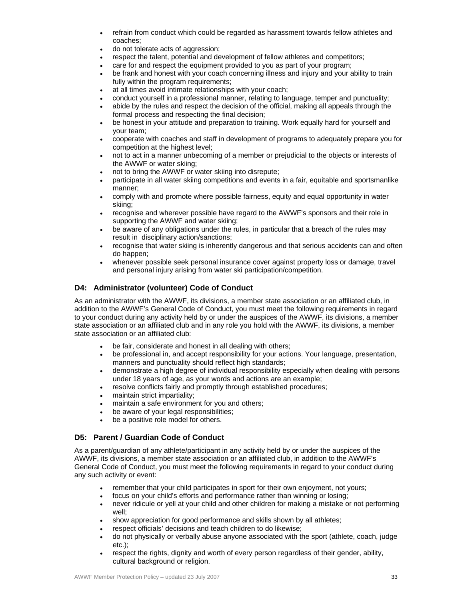- refrain from conduct which could be regarded as harassment towards fellow athletes and coaches;
- do not tolerate acts of aggression;
- respect the talent, potential and development of fellow athletes and competitors;
- care for and respect the equipment provided to you as part of your program;
- be frank and honest with your coach concerning illness and injury and your ability to train fully within the program requirements;
- at all times avoid intimate relationships with your coach;
- conduct yourself in a professional manner, relating to language, temper and punctuality;
- abide by the rules and respect the decision of the official, making all appeals through the formal process and respecting the final decision;
- be honest in your attitude and preparation to training. Work equally hard for yourself and your team;
- cooperate with coaches and staff in development of programs to adequately prepare you for competition at the highest level;
- not to act in a manner unbecoming of a member or prejudicial to the objects or interests of the AWWF or water skiing;
- not to bring the AWWF or water skiing into disrepute;
- participate in all water skiing competitions and events in a fair, equitable and sportsmanlike manner;
- comply with and promote where possible fairness, equity and equal opportunity in water skiing;
- recognise and wherever possible have regard to the AWWF's sponsors and their role in supporting the AWWF and water skiing;
- be aware of any obligations under the rules, in particular that a breach of the rules may result in disciplinary action/sanctions;
- recognise that water skiing is inherently dangerous and that serious accidents can and often do happen;
- whenever possible seek personal insurance cover against property loss or damage, travel and personal injury arising from water ski participation/competition.

# **D4: Administrator (volunteer) Code of Conduct**

As an administrator with the AWWF, its divisions, a member state association or an affiliated club, in addition to the AWWF's General Code of Conduct, you must meet the following requirements in regard to your conduct during any activity held by or under the auspices of the AWWF, its divisions, a member state association or an affiliated club and in any role you hold with the AWWF, its divisions, a member state association or an affiliated club:

- be fair, considerate and honest in all dealing with others;
- be professional in, and accept responsibility for your actions. Your language, presentation, manners and punctuality should reflect high standards;
- demonstrate a high degree of individual responsibility especially when dealing with persons under 18 years of age, as your words and actions are an example;
- resolve conflicts fairly and promptly through established procedures;
- maintain strict impartiality;
- maintain a safe environment for you and others;
- be aware of your legal responsibilities;
- be a positive role model for others.

# **D5: Parent / Guardian Code of Conduct**

As a parent/guardian of any athlete/participant in any activity held by or under the auspices of the AWWF, its divisions, a member state association or an affiliated club, in addition to the AWWF's General Code of Conduct, you must meet the following requirements in regard to your conduct during any such activity or event:

- remember that your child participates in sport for their own enjoyment, not yours;
- focus on your child's efforts and performance rather than winning or losing;
- never ridicule or yell at your child and other children for making a mistake or not performing well;
- show appreciation for good performance and skills shown by all athletes:
- respect officials' decisions and teach children to do likewise;
- do not physically or verbally abuse anyone associated with the sport (athlete, coach, judge etc.);
- respect the rights, dignity and worth of every person regardless of their gender, ability, cultural background or religion.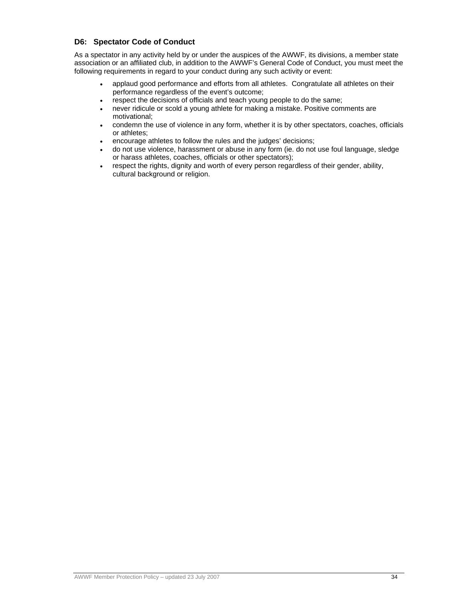# **D6: Spectator Code of Conduct**

As a spectator in any activity held by or under the auspices of the AWWF, its divisions, a member state association or an affiliated club, in addition to the AWWF's General Code of Conduct, you must meet the following requirements in regard to your conduct during any such activity or event:

- applaud good performance and efforts from all athletes. Congratulate all athletes on their performance regardless of the event's outcome;
- respect the decisions of officials and teach young people to do the same;
- never ridicule or scold a young athlete for making a mistake. Positive comments are motivational;
- condemn the use of violence in any form, whether it is by other spectators, coaches, officials or athletes;
- encourage athletes to follow the rules and the judges' decisions;
- do not use violence, harassment or abuse in any form (ie. do not use foul language, sledge or harass athletes, coaches, officials or other spectators);
- respect the rights, dignity and worth of every person regardless of their gender, ability, cultural background or religion.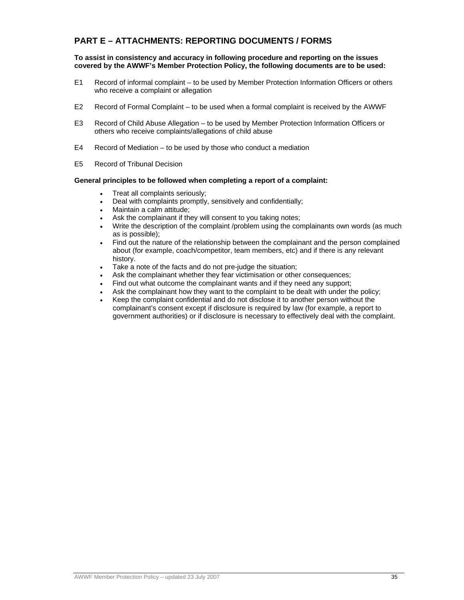# **PART E – ATTACHMENTS: REPORTING DOCUMENTS / FORMS**

**To assist in consistency and accuracy in following procedure and reporting on the issues covered by the AWWF's Member Protection Policy, the following documents are to be used:** 

- E1 Record of informal complaint to be used by Member Protection Information Officers or others who receive a complaint or allegation
- E2 Record of Formal Complaint to be used when a formal complaint is received by the AWWF
- E3 Record of Child Abuse Allegation to be used by Member Protection Information Officers or others who receive complaints/allegations of child abuse
- E4 Record of Mediation to be used by those who conduct a mediation
- E5 Record of Tribunal Decision

#### **General principles to be followed when completing a report of a complaint:**

- Treat all complaints seriously;
- Deal with complaints promptly, sensitively and confidentially;
- Maintain a calm attitude;
- Ask the complainant if they will consent to you taking notes;
- Write the description of the complaint /problem using the complainants own words (as much as is possible);
- Find out the nature of the relationship between the complainant and the person complained about (for example, coach/competitor, team members, etc) and if there is any relevant history.
- Take a note of the facts and do not pre-judge the situation;
- Ask the complainant whether they fear victimisation or other consequences;
- Find out what outcome the complainant wants and if they need any support;
- Ask the complainant how they want to the complaint to be dealt with under the policy;
- Keep the complaint confidential and do not disclose it to another person without the complainant's consent except if disclosure is required by law (for example, a report to government authorities) or if disclosure is necessary to effectively deal with the complaint.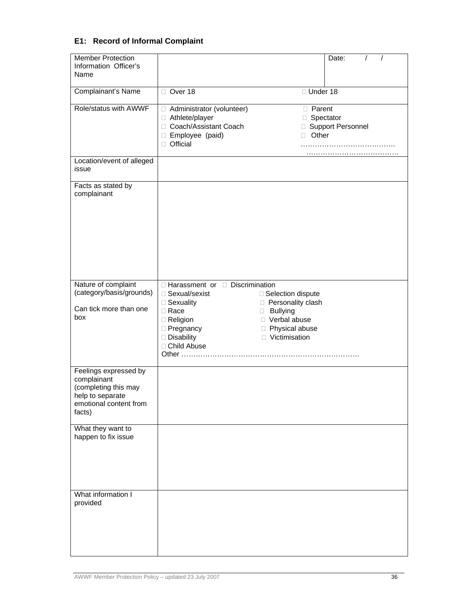# **E1: Record of Informal Complaint**

| <b>Member Protection</b><br>Information Officer's<br>Name                                                            |                                                                                                                                                        | Date:                                                                                                                               |
|----------------------------------------------------------------------------------------------------------------------|--------------------------------------------------------------------------------------------------------------------------------------------------------|-------------------------------------------------------------------------------------------------------------------------------------|
| Complainant's Name                                                                                                   | Over 18                                                                                                                                                | □ Under 18                                                                                                                          |
| Role/status with AWWF                                                                                                | □ Administrator (volunteer)<br>□ Athlete/player<br>□ Coach/Assistant Coach<br>□ Employee (paid)<br>Official<br>П.                                      | □ Parent<br>□ Spectator<br>□ Support Personnel<br>Other<br>П                                                                        |
| Location/event of alleged<br>issue                                                                                   |                                                                                                                                                        |                                                                                                                                     |
| Facts as stated by<br>complainant                                                                                    |                                                                                                                                                        |                                                                                                                                     |
| Nature of complaint<br>(category/basis/grounds)<br>Can tick more than one<br>box                                     | □ Harassment or □ Discrimination<br>□ Sexual/sexist<br>□ Sexuality<br>□ Race<br>□ Religion<br><b>Pregnancy</b><br>Disability<br>□ Child Abuse<br>Other | □ Selection dispute<br>□ Personality clash<br><b>Bullying</b><br>O<br>□ Verbal abuse<br>Physical abuse<br>$\Box$<br>□ Victimisation |
| Feelings expressed by<br>complainant<br>(completing this may<br>help to separate<br>emotional content from<br>facts) |                                                                                                                                                        |                                                                                                                                     |
| What they want to<br>happen to fix issue                                                                             |                                                                                                                                                        |                                                                                                                                     |
| What information I<br>provided                                                                                       |                                                                                                                                                        |                                                                                                                                     |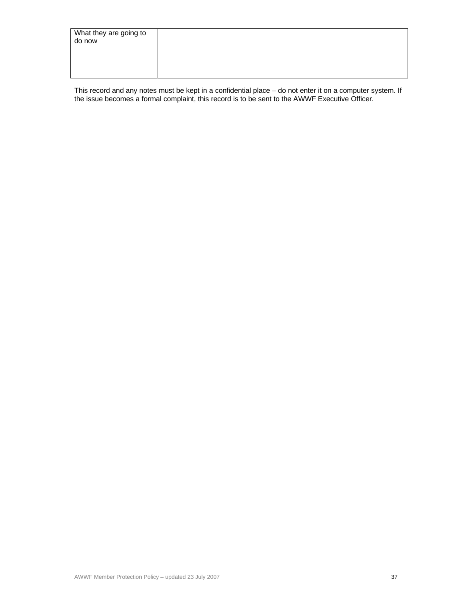| What they are going to<br>do now |  |
|----------------------------------|--|
|                                  |  |

This record and any notes must be kept in a confidential place – do not enter it on a computer system. If the issue becomes a formal complaint, this record is to be sent to the AWWF Executive Officer.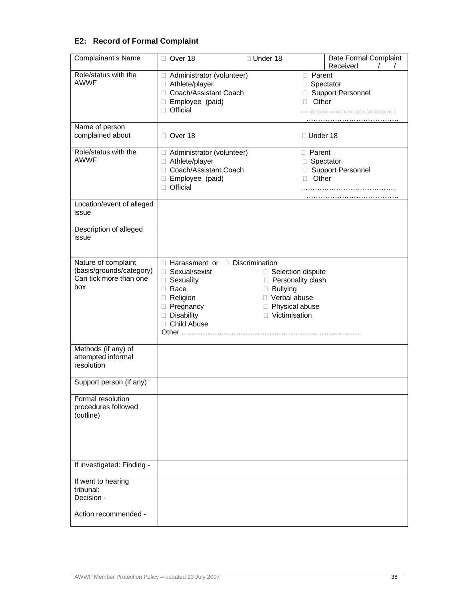# **E2: Record of Formal Complaint**

| Complainant's Name              | Over 18                                       | □ Under 18                             | Date Formal Complaint |
|---------------------------------|-----------------------------------------------|----------------------------------------|-----------------------|
| Role/status with the            |                                               |                                        | Received:             |
| <b>AWWF</b>                     | Administrator (volunteer)<br>□ Athlete/player | <b>D</b> Parent                        | □ Spectator           |
|                                 | □ Coach/Assistant Coach                       |                                        | □ Support Personnel   |
|                                 | □ Employee (paid)                             | П.                                     | Other                 |
|                                 | □ Official                                    |                                        |                       |
|                                 |                                               |                                        |                       |
| Name of person                  |                                               |                                        |                       |
| complained about                | □ Over 18                                     | $\Box$ Under 18                        |                       |
| Role/status with the            | □ Administrator (volunteer)                   | <b>D</b> Parent                        |                       |
| <b>AWWF</b>                     | □ Athlete/player                              |                                        | □ Spectator           |
|                                 | □ Coach/Assistant Coach                       |                                        | □ Support Personnel   |
|                                 | □ Employee (paid)                             | $\Box$                                 | Other                 |
|                                 | □ Official                                    |                                        |                       |
| Location/event of alleged       |                                               |                                        |                       |
| issue                           |                                               |                                        |                       |
| Description of alleged          |                                               |                                        |                       |
| issue                           |                                               |                                        |                       |
|                                 |                                               |                                        |                       |
| Nature of complaint             | □ Harassment or □ Discrimination              |                                        |                       |
| (basis/grounds/category)        | □ Sexual/sexist                               | □ Selection dispute                    |                       |
| Can tick more than one          | □ Sexuality                                   | □ Personality clash<br><b>Bullying</b> |                       |
| box                             | $\Box$ Race                                   |                                        |                       |
|                                 | Religion                                      | □ Verbal abuse                         |                       |
|                                 | <b>Pregnancy</b>                              | Physical abuse                         |                       |
|                                 | Disability                                    | □ Victimisation                        |                       |
|                                 | □ Child Abuse                                 |                                        |                       |
|                                 |                                               |                                        |                       |
| Methods (if any) of             |                                               |                                        |                       |
| attempted informal              |                                               |                                        |                       |
| resolution                      |                                               |                                        |                       |
| Support person (if any)         |                                               |                                        |                       |
| Formal resolution               |                                               |                                        |                       |
| procedures followed             |                                               |                                        |                       |
| (outline)                       |                                               |                                        |                       |
|                                 |                                               |                                        |                       |
|                                 |                                               |                                        |                       |
|                                 |                                               |                                        |                       |
|                                 |                                               |                                        |                       |
| If investigated: Finding -      |                                               |                                        |                       |
|                                 |                                               |                                        |                       |
| If went to hearing<br>tribunal: |                                               |                                        |                       |
| Decision -                      |                                               |                                        |                       |
|                                 |                                               |                                        |                       |
| Action recommended -            |                                               |                                        |                       |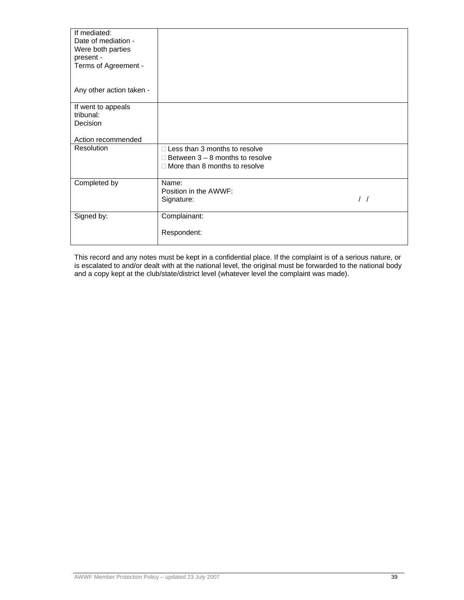| If mediated:<br>Date of mediation -<br>Were both parties |                                        |               |
|----------------------------------------------------------|----------------------------------------|---------------|
| present -<br>Terms of Agreement -                        |                                        |               |
| Any other action taken -                                 |                                        |               |
| If went to appeals                                       |                                        |               |
| tribunal:                                                |                                        |               |
| Decision                                                 |                                        |               |
| Action recommended                                       |                                        |               |
| Resolution                                               | $\Box$ Less than 3 months to resolve   |               |
|                                                          | $\Box$ Between 3 – 8 months to resolve |               |
|                                                          | $\Box$ More than 8 months to resolve   |               |
| Completed by                                             | Name:                                  |               |
|                                                          | Position in the AWWF:                  |               |
|                                                          | Signature:                             | $\frac{1}{2}$ |
| Signed by:                                               | Complainant:                           |               |
|                                                          | Respondent:                            |               |

This record and any notes must be kept in a confidential place. If the complaint is of a serious nature, or is escalated to and/or dealt with at the national level, the original must be forwarded to the national body and a copy kept at the club/state/district level (whatever level the complaint was made).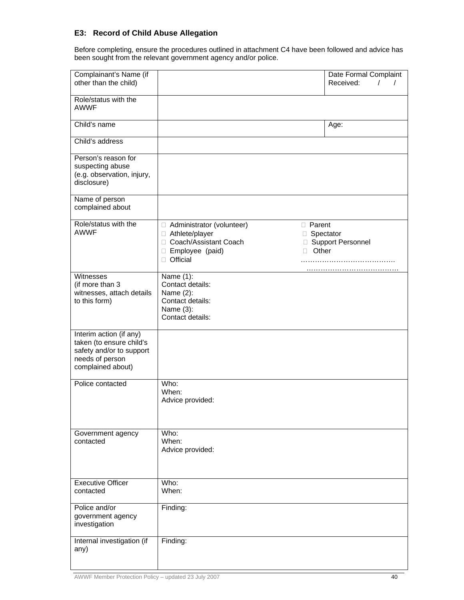# **E3: Record of Child Abuse Allegation**

Before completing, ensure the procedures outlined in attachment C4 have been followed and advice has been sought from the relevant government agency and/or police.

| Complainant's Name (if<br>other than the child)                                                                         |                                                                                                                    |                                                                | Date Formal Complaint<br>Received:<br>$\prime$ |
|-------------------------------------------------------------------------------------------------------------------------|--------------------------------------------------------------------------------------------------------------------|----------------------------------------------------------------|------------------------------------------------|
| Role/status with the<br><b>AWWF</b>                                                                                     |                                                                                                                    |                                                                |                                                |
| Child's name                                                                                                            |                                                                                                                    | Age:                                                           |                                                |
| Child's address                                                                                                         |                                                                                                                    |                                                                |                                                |
| Person's reason for<br>suspecting abuse<br>(e.g. observation, injury,<br>disclosure)                                    |                                                                                                                    |                                                                |                                                |
| Name of person<br>complained about                                                                                      |                                                                                                                    |                                                                |                                                |
| Role/status with the<br><b>AWWF</b>                                                                                     | □ Administrator (volunteer)<br>□ Athlete/player<br>□ Coach/Assistant Coach<br>□ Employee (paid)<br>$\Box$ Official | $\Box$ Parent<br>□ Spectator<br>□ Support Personnel<br>□ Other |                                                |
| Witnesses<br>(if more than 3<br>witnesses, attach details<br>to this form)                                              | Name $(1)$ :<br>Contact details:<br>Name (2):<br>Contact details:<br>Name (3):<br>Contact details:                 |                                                                |                                                |
| Interim action (if any)<br>taken (to ensure child's<br>safety and/or to support<br>needs of person<br>complained about) |                                                                                                                    |                                                                |                                                |
| Police contacted                                                                                                        | Who:<br>When:<br>Advice provided:                                                                                  |                                                                |                                                |
| Government agency<br>contacted                                                                                          | Who:<br>When:<br>Advice provided:                                                                                  |                                                                |                                                |
| <b>Executive Officer</b><br>contacted                                                                                   | Who:<br>When:                                                                                                      |                                                                |                                                |
| Police and/or<br>government agency<br>investigation                                                                     | Finding:                                                                                                           |                                                                |                                                |
| Internal investigation (if<br>any)                                                                                      | Finding:                                                                                                           |                                                                |                                                |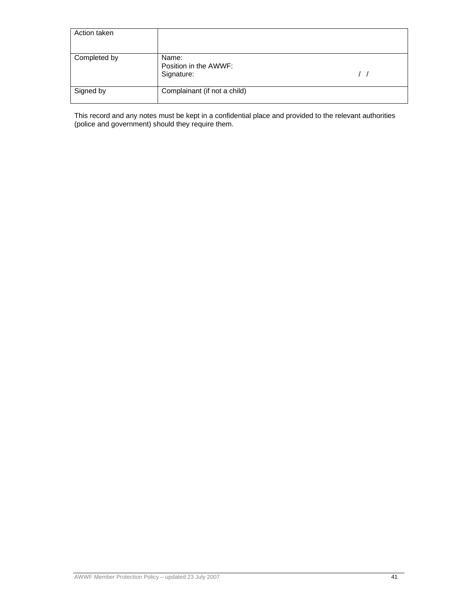| Action taken |                                              |  |
|--------------|----------------------------------------------|--|
| Completed by | Name:<br>Position in the AWWF:<br>Signature: |  |
| Signed by    | Complainant (if not a child)                 |  |

This record and any notes must be kept in a confidential place and provided to the relevant authorities (police and government) should they require them.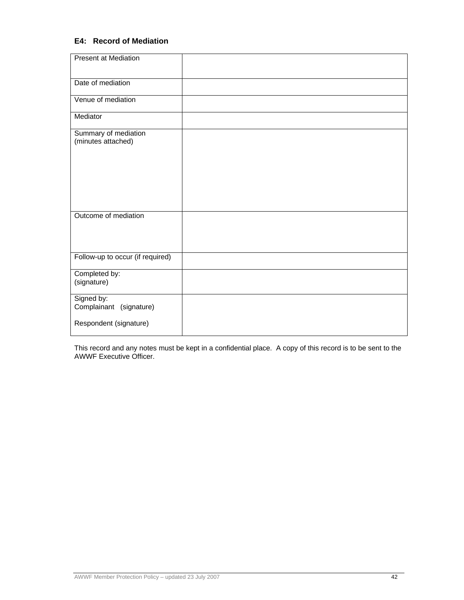# **E4: Record of Mediation**

| <b>Present at Mediation</b>                |  |
|--------------------------------------------|--|
| Date of mediation                          |  |
| Venue of mediation                         |  |
| Mediator                                   |  |
| Summary of mediation<br>(minutes attached) |  |
|                                            |  |
| Outcome of mediation                       |  |
| Follow-up to occur (if required)           |  |
| Completed by:<br>(signature)               |  |
| Signed by:<br>Complainant (signature)      |  |
| Respondent (signature)                     |  |

This record and any notes must be kept in a confidential place. A copy of this record is to be sent to the AWWF Executive Officer.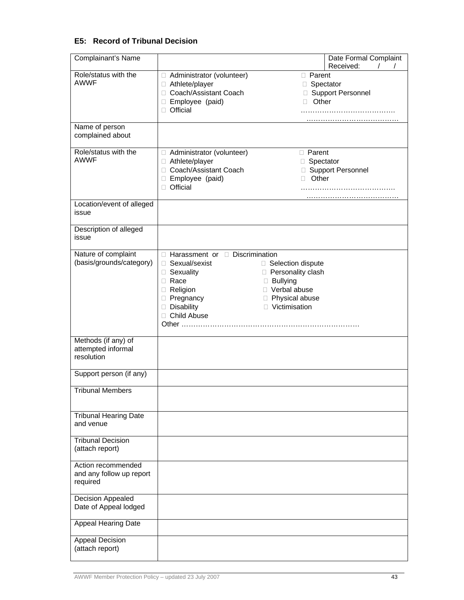# **E5: Record of Tribunal Decision**

| Complainant's Name                                         |                                                                                                                  | Date Formal Complaint                                                                                                                                              |  |
|------------------------------------------------------------|------------------------------------------------------------------------------------------------------------------|--------------------------------------------------------------------------------------------------------------------------------------------------------------------|--|
| Role/status with the<br><b>AWWF</b><br>Name of person      | Administrator (volunteer)<br>□ Athlete/player<br>□ Coach/Assistant Coach<br>□ Employee (paid)<br>$\Box$ Official | Received:<br>□ Parent<br>□ Spectator<br>□ Support Personnel<br>Other<br>П.                                                                                         |  |
| complained about                                           |                                                                                                                  |                                                                                                                                                                    |  |
| Role/status with the<br><b>AWWF</b>                        | Administrator (volunteer)<br>□ Athlete/player<br>□ Coach/Assistant Coach<br>□ Employee (paid)<br>□ Official      | <b>D</b> Parent<br>□ Spectator<br>□ Support Personnel<br>Other<br>П.                                                                                               |  |
| Location/event of alleged<br>issue                         |                                                                                                                  |                                                                                                                                                                    |  |
| Description of alleged<br>issue                            |                                                                                                                  |                                                                                                                                                                    |  |
| Nature of complaint<br>(basis/grounds/category)            | □ Sexual/sexist<br>□ Sexuality<br>$\Box$ Race<br>Religion<br>Pregnancy<br>Disability<br>□ Child Abuse            | $\Box$ Harassment or $\Box$ Discrimination<br>□ Selection dispute<br>□ Personality clash<br><b>Bullying</b><br>□ Verbal abuse<br>Physical abuse<br>□ Victimisation |  |
| Methods (if any) of<br>attempted informal<br>resolution    |                                                                                                                  |                                                                                                                                                                    |  |
| Support person (if any)                                    |                                                                                                                  |                                                                                                                                                                    |  |
| <b>Tribunal Members</b>                                    |                                                                                                                  |                                                                                                                                                                    |  |
| <b>Tribunal Hearing Date</b><br>and venue                  |                                                                                                                  |                                                                                                                                                                    |  |
| <b>Tribunal Decision</b><br>(attach report)                |                                                                                                                  |                                                                                                                                                                    |  |
| Action recommended<br>and any follow up report<br>required |                                                                                                                  |                                                                                                                                                                    |  |
| <b>Decision Appealed</b><br>Date of Appeal lodged          |                                                                                                                  |                                                                                                                                                                    |  |
| <b>Appeal Hearing Date</b>                                 |                                                                                                                  |                                                                                                                                                                    |  |
| Appeal Decision<br>(attach report)                         |                                                                                                                  |                                                                                                                                                                    |  |